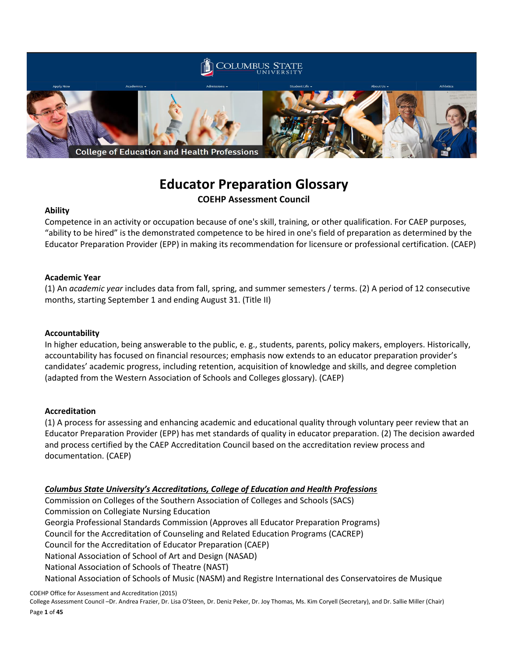

# **Educator Preparation Glossary COEHP Assessment Council**

### **Ability**

Competence in an activity or occupation because of one's skill, training, or other qualification. For CAEP purposes, "ability to be hired" is the demonstrated competence to be hired in one's field of preparation as determined by the Educator Preparation Provider (EPP) in making its recommendation for licensure or professional certification. (CAEP)

### **Academic Year**

(1) An *academic year* includes data from fall, spring, and summer semesters / terms. (2) A period of 12 consecutive months, starting September 1 and ending August 31. (Title II)

### **Accountability**

In higher education, being answerable to the public, e. g., students, parents, policy makers, employers. Historically, accountability has focused on financial resources; emphasis now extends to an educator preparation provider's candidates' academic progress, including retention, acquisition of knowledge and skills, and degree completion (adapted from the Western Association of Schools and Colleges glossary). (CAEP)

#### **Accreditation**

(1) A process for assessing and enhancing academic and educational quality through voluntary peer review that an Educator Preparation Provider (EPP) has met standards of quality in educator preparation. (2) The decision awarded and process certified by the CAEP Accreditation Council based on the accreditation review process and documentation. (CAEP)

### *Columbus State University's Accreditations, College of Education and Health Professions*

Commission on Colleges of the Southern Association of Colleges and Schools (SACS) Commission on Collegiate Nursing Education Georgia Professional Standards Commission (Approves all Educator Preparation Programs) Council for the Accreditation of Counseling and Related Education Programs (CACREP) Council for the Accreditation of Educator Preparation (CAEP) National Association of School of Art and Design (NASAD) National Association of Schools of Theatre (NAST) National Association of Schools of Music (NASM) and Registre International des Conservatoires de Musique

COEHP Office for Assessment and Accreditation (2015)

College Assessment Council –Dr. Andrea Frazier, Dr. Lisa O'Steen, Dr. Deniz Peker, Dr. Joy Thomas, Ms. Kim Coryell (Secretary), and Dr. Sallie Miller (Chair) Page **1** of **45**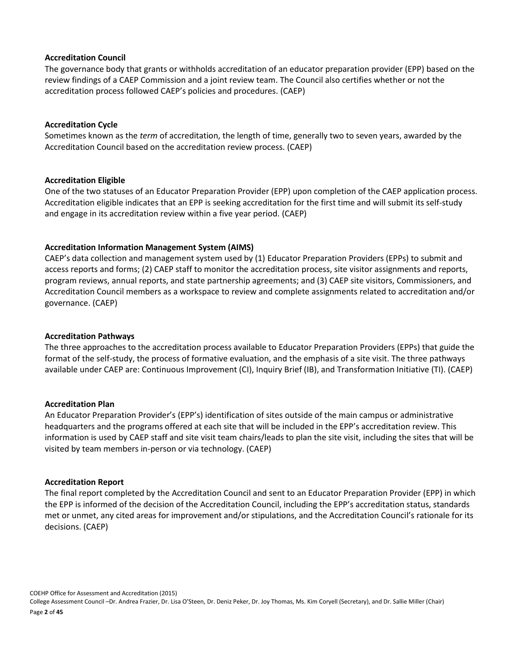#### **Accreditation Council**

The governance body that grants or withholds accreditation of an educator preparation provider (EPP) based on the review findings of a CAEP Commission and a joint review team. The Council also certifies whether or not the accreditation process followed CAEP's policies and procedures. (CAEP)

### **Accreditation Cycle**

Sometimes known as the *term* of accreditation, the length of time, generally two to seven years, awarded by the Accreditation Council based on the accreditation review process. (CAEP)

### **Accreditation Eligible**

One of the two statuses of an Educator Preparation Provider (EPP) upon completion of the CAEP application process. Accreditation eligible indicates that an EPP is seeking accreditation for the first time and will submit its self-study and engage in its accreditation review within a five year period. (CAEP)

### **Accreditation Information Management System (AIMS)**

CAEP's data collection and management system used by (1) Educator Preparation Providers (EPPs) to submit and access reports and forms; (2) CAEP staff to monitor the accreditation process, site visitor assignments and reports, program reviews, annual reports, and state partnership agreements; and (3) CAEP site visitors, Commissioners, and Accreditation Council members as a workspace to review and complete assignments related to accreditation and/or governance. (CAEP)

### **Accreditation Pathways**

The three approaches to the accreditation process available to Educator Preparation Providers (EPPs) that guide the format of the self-study, the process of formative evaluation, and the emphasis of a site visit. The three pathways available under CAEP are: Continuous Improvement (CI), Inquiry Brief (IB), and Transformation Initiative (TI). (CAEP)

### **Accreditation Plan**

An Educator Preparation Provider's (EPP's) identification of sites outside of the main campus or administrative headquarters and the programs offered at each site that will be included in the EPP's accreditation review. This information is used by CAEP staff and site visit team chairs/leads to plan the site visit, including the sites that will be visited by team members in-person or via technology. (CAEP)

#### **Accreditation Report**

The final report completed by the Accreditation Council and sent to an Educator Preparation Provider (EPP) in which the EPP is informed of the decision of the Accreditation Council, including the EPP's accreditation status, standards met or unmet, any cited areas for improvement and/or stipulations, and the Accreditation Council's rationale for its decisions. (CAEP)

COEHP Office for Assessment and Accreditation (2015) College Assessment Council –Dr. Andrea Frazier, Dr. Lisa O'Steen, Dr. Deniz Peker, Dr. Joy Thomas, Ms. Kim Coryell (Secretary), and Dr. Sallie Miller (Chair) Page **2** of **45**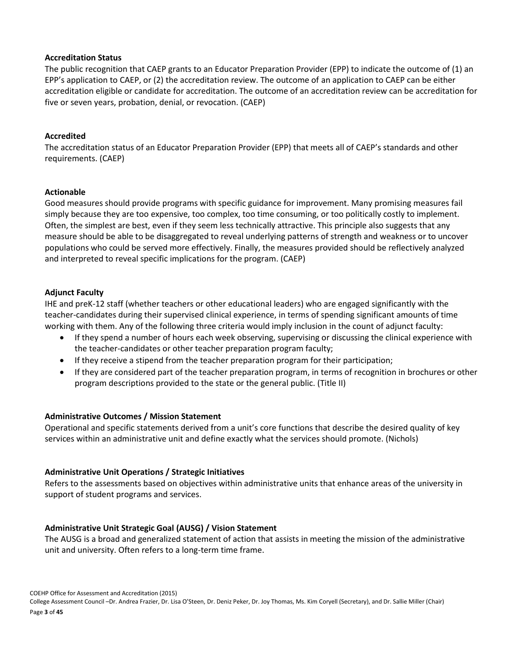### **Accreditation Status**

The public recognition that CAEP grants to an Educator Preparation Provider (EPP) to indicate the outcome of (1) an EPP's application to CAEP, or (2) the accreditation review. The outcome of an application to CAEP can be either accreditation eligible or candidate for accreditation. The outcome of an accreditation review can be accreditation for five or seven years, probation, denial, or revocation. (CAEP)

### **Accredited**

The accreditation status of an Educator Preparation Provider (EPP) that meets all of CAEP's standards and other requirements. (CAEP)

### **Actionable**

Good measures should provide programs with specific guidance for improvement. Many promising measures fail simply because they are too expensive, too complex, too time consuming, or too politically costly to implement. Often, the simplest are best, even if they seem less technically attractive. This principle also suggests that any measure should be able to be disaggregated to reveal underlying patterns of strength and weakness or to uncover populations who could be served more effectively. Finally, the measures provided should be reflectively analyzed and interpreted to reveal specific implications for the program. (CAEP)

### **Adjunct Faculty**

IHE and preK-12 staff (whether teachers or other educational leaders) who are engaged significantly with the teacher-candidates during their supervised clinical experience, in terms of spending significant amounts of time working with them. Any of the following three criteria would imply inclusion in the count of adjunct faculty:

- If they spend a number of hours each week observing, supervising or discussing the clinical experience with the teacher-candidates or other teacher preparation program faculty;
- If they receive a stipend from the teacher preparation program for their participation;
- If they are considered part of the teacher preparation program, in terms of recognition in brochures or other program descriptions provided to the state or the general public. (Title II)

### **Administrative Outcomes / Mission Statement**

Operational and specific statements derived from a unit's core functions that describe the desired quality of key services within an administrative unit and define exactly what the services should promote. (Nichols)

### **Administrative Unit Operations / Strategic Initiatives**

Refers to the assessments based on objectives within administrative units that enhance areas of the university in support of student programs and services.

### **Administrative Unit Strategic Goal (AUSG) / Vision Statement**

The AUSG is a broad and generalized statement of action that assists in meeting the mission of the administrative unit and university. Often refers to a long-term time frame.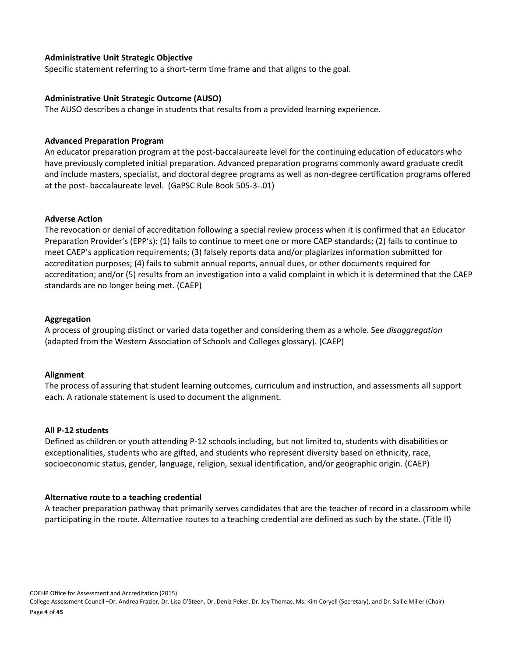### **Administrative Unit Strategic Objective**

Specific statement referring to a short-term time frame and that aligns to the goal.

### **Administrative Unit Strategic Outcome (AUSO)**

The AUSO describes a change in students that results from a provided learning experience.

#### **Advanced Preparation Program**

An educator preparation program at the post-baccalaureate level for the continuing education of educators who have previously completed initial preparation. Advanced preparation programs commonly award graduate credit and include masters, specialist, and doctoral degree programs as well as non-degree certification programs offered at the post- baccalaureate level. (GaPSC Rule Book 505-3-.01)

### **Adverse Action**

The revocation or denial of accreditation following a special review process when it is confirmed that an Educator Preparation Provider's (EPP's): (1) fails to continue to meet one or more CAEP standards; (2) fails to continue to meet CAEP's application requirements; (3) falsely reports data and/or plagiarizes information submitted for accreditation purposes; (4) fails to submit annual reports, annual dues, or other documents required for accreditation; and/or (5) results from an investigation into a valid complaint in which it is determined that the CAEP standards are no longer being met. (CAEP)

### **Aggregation**

A process of grouping distinct or varied data together and considering them as a whole. See *disaggregation*  (adapted from the Western Association of Schools and Colleges glossary). (CAEP)

#### **Alignment**

The process of assuring that student learning outcomes, curriculum and instruction, and assessments all support each. A rationale statement is used to document the alignment.

#### **All P-12 students**

Defined as children or youth attending P-12 schools including, but not limited to, students with disabilities or exceptionalities, students who are gifted, and students who represent diversity based on ethnicity, race, socioeconomic status, gender, language, religion, sexual identification, and/or geographic origin. (CAEP)

### **Alternative route to a teaching credential**

A teacher preparation pathway that primarily serves candidates that are the teacher of record in a classroom while participating in the route. Alternative routes to a teaching credential are defined as such by the state. (Title II)

COEHP Office for Assessment and Accreditation (2015) College Assessment Council –Dr. Andrea Frazier, Dr. Lisa O'Steen, Dr. Deniz Peker, Dr. Joy Thomas, Ms. Kim Coryell (Secretary), and Dr. Sallie Miller (Chair)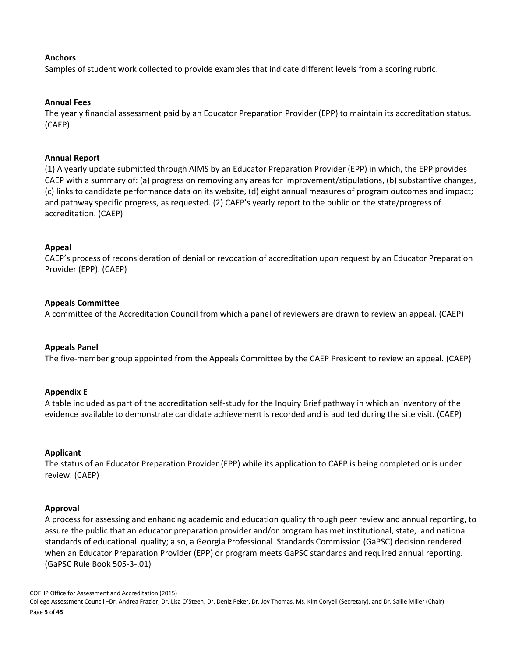### **Anchors**

Samples of student work collected to provide examples that indicate different levels from a scoring rubric.

### **Annual Fees**

The yearly financial assessment paid by an Educator Preparation Provider (EPP) to maintain its accreditation status. (CAEP)

### **Annual Report**

(1) A yearly update submitted through AIMS by an Educator Preparation Provider (EPP) in which, the EPP provides CAEP with a summary of: (a) progress on removing any areas for improvement/stipulations, (b) substantive changes, (c) links to candidate performance data on its website, (d) eight annual measures of program outcomes and impact; and pathway specific progress, as requested. (2) CAEP's yearly report to the public on the state/progress of accreditation. (CAEP)

### **Appeal**

CAEP's process of reconsideration of denial or revocation of accreditation upon request by an Educator Preparation Provider (EPP). (CAEP)

### **Appeals Committee**

A committee of the Accreditation Council from which a panel of reviewers are drawn to review an appeal. (CAEP)

#### **Appeals Panel**

The five-member group appointed from the Appeals Committee by the CAEP President to review an appeal. (CAEP)

### **Appendix E**

A table included as part of the accreditation self-study for the Inquiry Brief pathway in which an inventory of the evidence available to demonstrate candidate achievement is recorded and is audited during the site visit. (CAEP)

#### **Applicant**

The status of an Educator Preparation Provider (EPP) while its application to CAEP is being completed or is under review. (CAEP)

#### **Approval**

A process for assessing and enhancing academic and education quality through peer review and annual reporting, to assure the public that an educator preparation provider and/or program has met institutional, state, and national standards of educational quality; also, a Georgia Professional Standards Commission (GaPSC) decision rendered when an Educator Preparation Provider (EPP) or program meets GaPSC standards and required annual reporting. (GaPSC Rule Book 505-3-.01)

COEHP Office for Assessment and Accreditation (2015) College Assessment Council –Dr. Andrea Frazier, Dr. Lisa O'Steen, Dr. Deniz Peker, Dr. Joy Thomas, Ms. Kim Coryell (Secretary), and Dr. Sallie Miller (Chair) Page **5** of **45**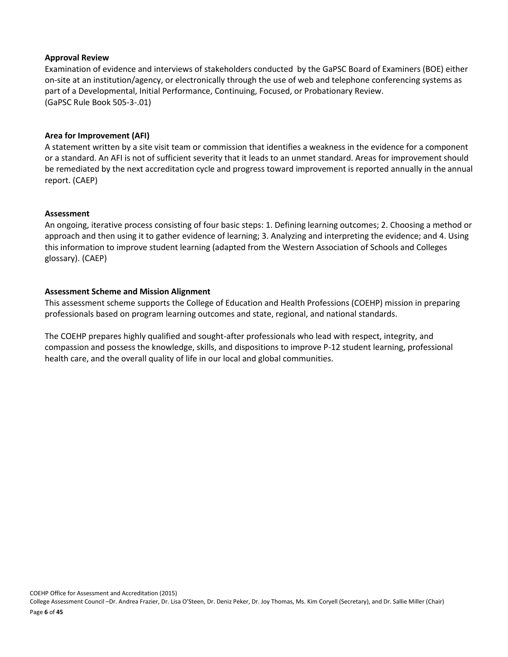### **Approval Review**

Examination of evidence and interviews of stakeholders conducted by the GaPSC Board of Examiners (BOE) either on-site at an institution/agency, or electronically through the use of web and telephone conferencing systems as part of a Developmental, Initial Performance, Continuing, Focused, or Probationary Review. (GaPSC Rule Book 505-3-.01)

### **Area for Improvement (AFI)**

A statement written by a site visit team or commission that identifies a weakness in the evidence for a component or a standard. An AFI is not of sufficient severity that it leads to an unmet standard. Areas for improvement should be remediated by the next accreditation cycle and progress toward improvement is reported annually in the annual report. (CAEP)

#### **Assessment**

An ongoing, iterative process consisting of four basic steps: 1. Defining learning outcomes; 2. Choosing a method or approach and then using it to gather evidence of learning; 3. Analyzing and interpreting the evidence; and 4. Using this information to improve student learning (adapted from the Western Association of Schools and Colleges glossary). (CAEP)

### **Assessment Scheme and Mission Alignment**

This assessment scheme supports the College of Education and Health Professions (COEHP) mission in preparing professionals based on program learning outcomes and state, regional, and national standards.

The COEHP prepares highly qualified and sought-after professionals who lead with respect, integrity, and compassion and possess the knowledge, skills, and dispositions to improve P-12 student learning, professional health care, and the overall quality of life in our local and global communities.

COEHP Office for Assessment and Accreditation (2015)

College Assessment Council –Dr. Andrea Frazier, Dr. Lisa O'Steen, Dr. Deniz Peker, Dr. Joy Thomas, Ms. Kim Coryell (Secretary), and Dr. Sallie Miller (Chair) Page **6** of **45**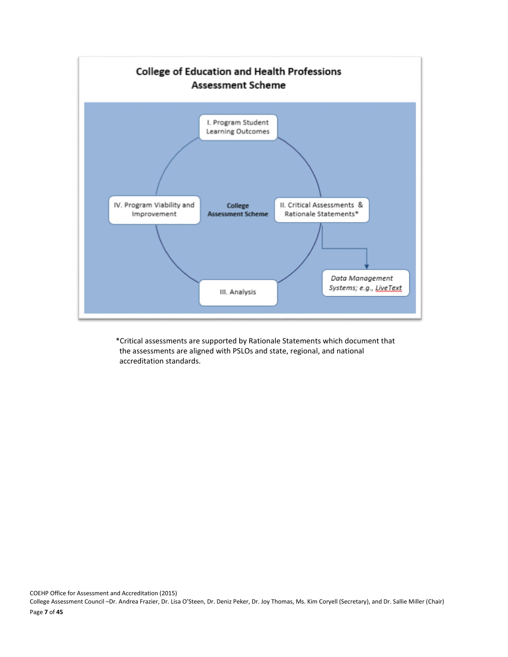

\*Critical assessments are supported by Rationale Statements which document that the assessments are aligned with PSLOs and state, regional, and national accreditation standards.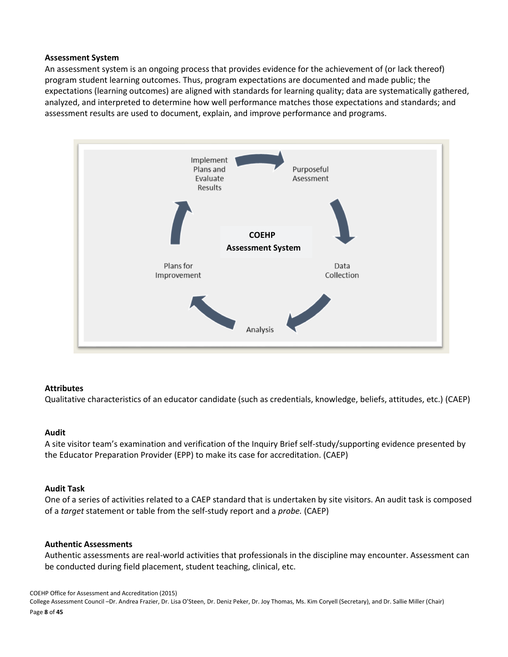#### **Assessment System**

An assessment system is an ongoing process that provides evidence for the achievement of (or lack thereof) program student learning outcomes. Thus, program expectations are documented and made public; the expectations (learning outcomes) are aligned with standards for learning quality; data are systematically gathered, analyzed, and interpreted to determine how well performance matches those expectations and standards; and assessment results are used to document, explain, and improve performance and programs.



### **Attributes**

Qualitative characteristics of an educator candidate (such as credentials, knowledge, beliefs, attitudes, etc.) (CAEP)

#### **Audit**

A site visitor team's examination and verification of the Inquiry Brief self-study/supporting evidence presented by the Educator Preparation Provider (EPP) to make its case for accreditation. (CAEP)

#### **Audit Task**

One of a series of activities related to a CAEP standard that is undertaken by site visitors. An audit task is composed of a *target* statement or table from the self-study report and a *probe.* (CAEP)

#### **Authentic Assessments**

Authentic assessments are real-world activities that professionals in the discipline may encounter. Assessment can be conducted during field placement, student teaching, clinical, etc.

COEHP Office for Assessment and Accreditation (2015) College Assessment Council –Dr. Andrea Frazier, Dr. Lisa O'Steen, Dr. Deniz Peker, Dr. Joy Thomas, Ms. Kim Coryell (Secretary), and Dr. Sallie Miller (Chair) Page **8** of **45**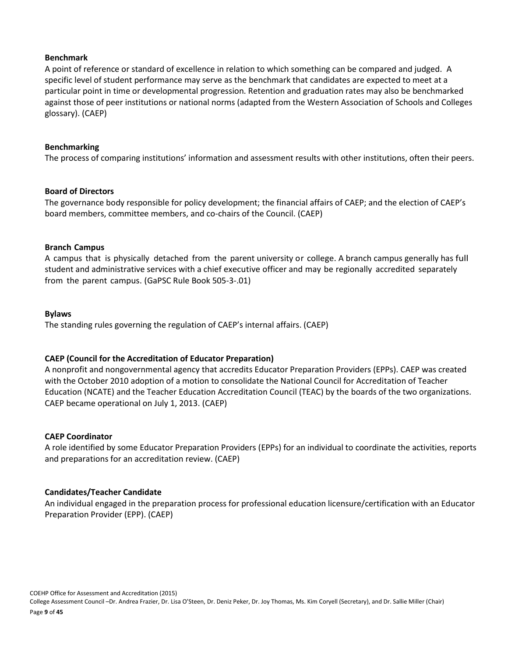### **Benchmark**

A point of reference or standard of excellence in relation to which something can be compared and judged. A specific level of student performance may serve as the benchmark that candidates are expected to meet at a particular point in time or developmental progression. Retention and graduation rates may also be benchmarked against those of peer institutions or national norms (adapted from the Western Association of Schools and Colleges glossary). (CAEP)

#### **Benchmarking**

The process of comparing institutions' information and assessment results with other institutions, often their peers.

### **Board of Directors**

The governance body responsible for policy development; the financial affairs of CAEP; and the election of CAEP's board members, committee members, and co-chairs of the Council. (CAEP)

### **Branch Campus**

A campus that is physically detached from the parent university or college. A branch campus generally has full student and administrative services with a chief executive officer and may be regionally accredited separately from the parent campus. (GaPSC Rule Book 505-3-.01)

### **Bylaws**

The standing rules governing the regulation of CAEP's internal affairs. (CAEP)

### **CAEP (Council for the Accreditation of Educator Preparation)**

A nonprofit and nongovernmental agency that accredits Educator Preparation Providers (EPPs). CAEP was created with the October 2010 adoption of a motion to consolidate the National Council for Accreditation of Teacher Education (NCATE) and the Teacher Education Accreditation Council (TEAC) by the boards of the two organizations. CAEP became operational on July 1, 2013. (CAEP)

### **CAEP Coordinator**

A role identified by some Educator Preparation Providers (EPPs) for an individual to coordinate the activities, reports and preparations for an accreditation review. (CAEP)

### **Candidates/Teacher Candidate**

An individual engaged in the preparation process for professional education licensure/certification with an Educator Preparation Provider (EPP). (CAEP)

COEHP Office for Assessment and Accreditation (2015)

College Assessment Council –Dr. Andrea Frazier, Dr. Lisa O'Steen, Dr. Deniz Peker, Dr. Joy Thomas, Ms. Kim Coryell (Secretary), and Dr. Sallie Miller (Chair)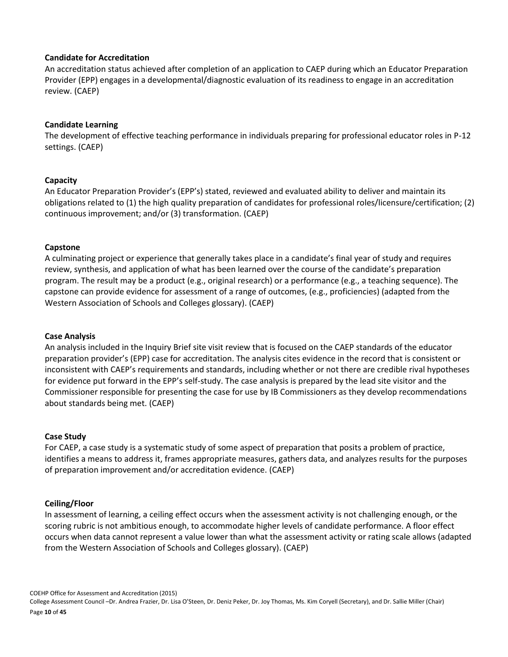### **Candidate for Accreditation**

An accreditation status achieved after completion of an application to CAEP during which an Educator Preparation Provider (EPP) engages in a developmental/diagnostic evaluation of its readiness to engage in an accreditation review. (CAEP)

### **Candidate Learning**

The development of effective teaching performance in individuals preparing for professional educator roles in P-12 settings. (CAEP)

### **Capacity**

An Educator Preparation Provider's (EPP's) stated, reviewed and evaluated ability to deliver and maintain its obligations related to (1) the high quality preparation of candidates for professional roles/licensure/certification; (2) continuous improvement; and/or (3) transformation. (CAEP)

### **Capstone**

A culminating project or experience that generally takes place in a candidate's final year of study and requires review, synthesis, and application of what has been learned over the course of the candidate's preparation program. The result may be a product (e.g., original research) or a performance (e.g., a teaching sequence). The capstone can provide evidence for assessment of a range of outcomes, (e.g., proficiencies) (adapted from the Western Association of Schools and Colleges glossary). (CAEP)

#### **Case Analysis**

An analysis included in the Inquiry Brief site visit review that is focused on the CAEP standards of the educator preparation provider's (EPP) case for accreditation. The analysis cites evidence in the record that is consistent or inconsistent with CAEP's requirements and standards, including whether or not there are credible rival hypotheses for evidence put forward in the EPP's self-study. The case analysis is prepared by the lead site visitor and the Commissioner responsible for presenting the case for use by IB Commissioners as they develop recommendations about standards being met. (CAEP)

#### **Case Study**

For CAEP, a case study is a systematic study of some aspect of preparation that posits a problem of practice, identifies a means to address it, frames appropriate measures, gathers data, and analyzes results for the purposes of preparation improvement and/or accreditation evidence. (CAEP)

#### **Ceiling/Floor**

In assessment of learning, a ceiling effect occurs when the assessment activity is not challenging enough, or the scoring rubric is not ambitious enough, to accommodate higher levels of candidate performance. A floor effect occurs when data cannot represent a value lower than what the assessment activity or rating scale allows (adapted from the Western Association of Schools and Colleges glossary). (CAEP)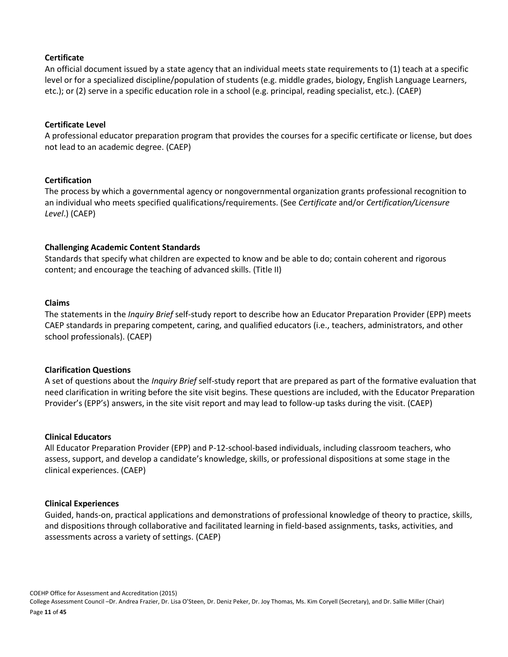### **Certificate**

An official document issued by a state agency that an individual meets state requirements to (1) teach at a specific level or for a specialized discipline/population of students (e.g. middle grades, biology, English Language Learners, etc.); or (2) serve in a specific education role in a school (e.g. principal, reading specialist, etc.). (CAEP)

### **Certificate Level**

A professional educator preparation program that provides the courses for a specific certificate or license, but does not lead to an academic degree. (CAEP)

### **Certification**

The process by which a governmental agency or nongovernmental organization grants professional recognition to an individual who meets specified qualifications/requirements. (See *Certificate* and/or *Certification/Licensure Level*.) (CAEP)

### **Challenging Academic Content Standards**

Standards that specify what children are expected to know and be able to do; contain coherent and rigorous content; and encourage the teaching of advanced skills. (Title II)

### **Claims**

The statements in the *Inquiry Brief* self-study report to describe how an Educator Preparation Provider (EPP) meets CAEP standards in preparing competent, caring, and qualified educators (i.e., teachers, administrators, and other school professionals). (CAEP)

#### **Clarification Questions**

A set of questions about the *Inquiry Brief* self-study report that are prepared as part of the formative evaluation that need clarification in writing before the site visit begins. These questions are included, with the Educator Preparation Provider's (EPP's) answers, in the site visit report and may lead to follow-up tasks during the visit. (CAEP)

#### **Clinical Educators**

All Educator Preparation Provider (EPP) and P-12-school-based individuals, including classroom teachers, who assess, support, and develop a candidate's knowledge, skills, or professional dispositions at some stage in the clinical experiences. (CAEP)

#### **Clinical Experiences**

Guided, hands-on, practical applications and demonstrations of professional knowledge of theory to practice, skills, and dispositions through collaborative and facilitated learning in field-based assignments, tasks, activities, and assessments across a variety of settings. (CAEP)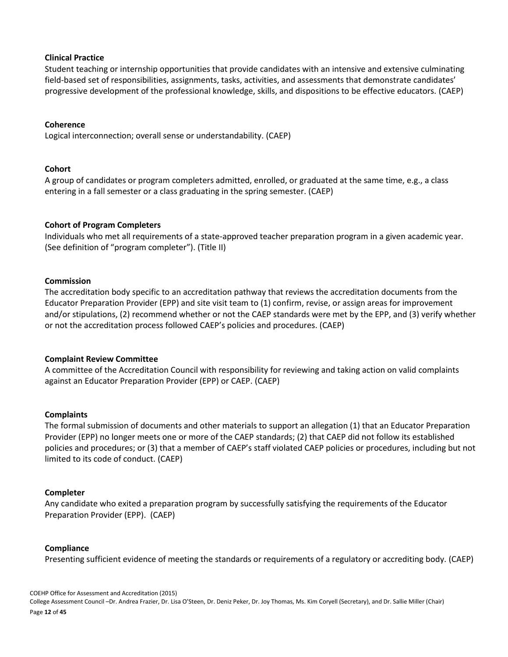### **Clinical Practice**

Student teaching or internship opportunities that provide candidates with an intensive and extensive culminating field-based set of responsibilities, assignments, tasks, activities, and assessments that demonstrate candidates' progressive development of the professional knowledge, skills, and dispositions to be effective educators. (CAEP)

### **Coherence**

Logical interconnection; overall sense or understandability. (CAEP)

### **Cohort**

A group of candidates or program completers admitted, enrolled, or graduated at the same time, e.g., a class entering in a fall semester or a class graduating in the spring semester. (CAEP)

### **Cohort of Program Completers**

Individuals who met all requirements of a state-approved teacher preparation program in a given academic year. (See definition of "program completer"). (Title II)

### **Commission**

The accreditation body specific to an accreditation pathway that reviews the accreditation documents from the Educator Preparation Provider (EPP) and site visit team to (1) confirm, revise, or assign areas for improvement and/or stipulations, (2) recommend whether or not the CAEP standards were met by the EPP, and (3) verify whether or not the accreditation process followed CAEP's policies and procedures. (CAEP)

#### **Complaint Review Committee**

A committee of the Accreditation Council with responsibility for reviewing and taking action on valid complaints against an Educator Preparation Provider (EPP) or CAEP. (CAEP)

#### **Complaints**

The formal submission of documents and other materials to support an allegation (1) that an Educator Preparation Provider (EPP) no longer meets one or more of the CAEP standards; (2) that CAEP did not follow its established policies and procedures; or (3) that a member of CAEP's staff violated CAEP policies or procedures, including but not limited to its code of conduct. (CAEP)

### **Completer**

Any candidate who exited a preparation program by successfully satisfying the requirements of the Educator Preparation Provider (EPP). (CAEP)

### **Compliance**

Presenting sufficient evidence of meeting the standards or requirements of a regulatory or accrediting body. (CAEP)

COEHP Office for Assessment and Accreditation (2015) College Assessment Council –Dr. Andrea Frazier, Dr. Lisa O'Steen, Dr. Deniz Peker, Dr. Joy Thomas, Ms. Kim Coryell (Secretary), and Dr. Sallie Miller (Chair) Page **12** of **45**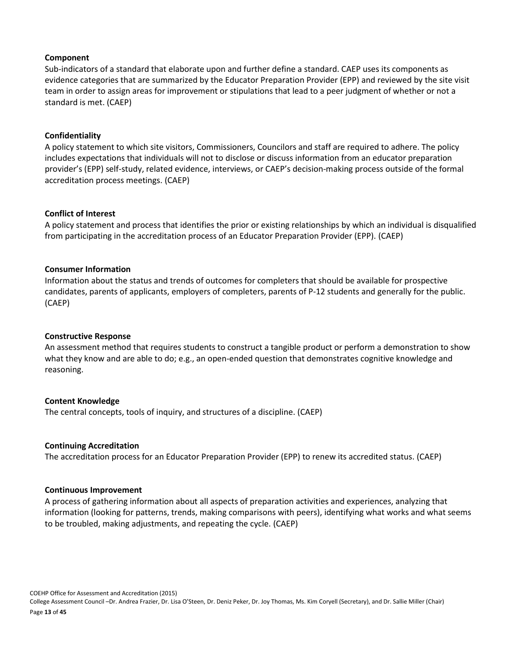#### **Component**

Sub-indicators of a standard that elaborate upon and further define a standard. CAEP uses its components as evidence categories that are summarized by the Educator Preparation Provider (EPP) and reviewed by the site visit team in order to assign areas for improvement or stipulations that lead to a peer judgment of whether or not a standard is met. (CAEP)

### **Confidentiality**

A policy statement to which site visitors, Commissioners, Councilors and staff are required to adhere. The policy includes expectations that individuals will not to disclose or discuss information from an educator preparation provider's (EPP) self-study, related evidence, interviews, or CAEP's decision-making process outside of the formal accreditation process meetings. (CAEP)

### **Conflict of Interest**

A policy statement and process that identifies the prior or existing relationships by which an individual is disqualified from participating in the accreditation process of an Educator Preparation Provider (EPP). (CAEP)

### **Consumer Information**

Information about the status and trends of outcomes for completers that should be available for prospective candidates, parents of applicants, employers of completers, parents of P-12 students and generally for the public. (CAEP)

#### **Constructive Response**

An assessment method that requires students to construct a tangible product or perform a demonstration to show what they know and are able to do; e.g., an open-ended question that demonstrates cognitive knowledge and reasoning.

#### **Content Knowledge**

The central concepts, tools of inquiry, and structures of a discipline. (CAEP)

#### **Continuing Accreditation**

The accreditation process for an Educator Preparation Provider (EPP) to renew its accredited status. (CAEP)

#### **Continuous Improvement**

A process of gathering information about all aspects of preparation activities and experiences, analyzing that information (looking for patterns, trends, making comparisons with peers), identifying what works and what seems to be troubled, making adjustments, and repeating the cycle. (CAEP)

COEHP Office for Assessment and Accreditation (2015) College Assessment Council –Dr. Andrea Frazier, Dr. Lisa O'Steen, Dr. Deniz Peker, Dr. Joy Thomas, Ms. Kim Coryell (Secretary), and Dr. Sallie Miller (Chair) Page **13** of **45**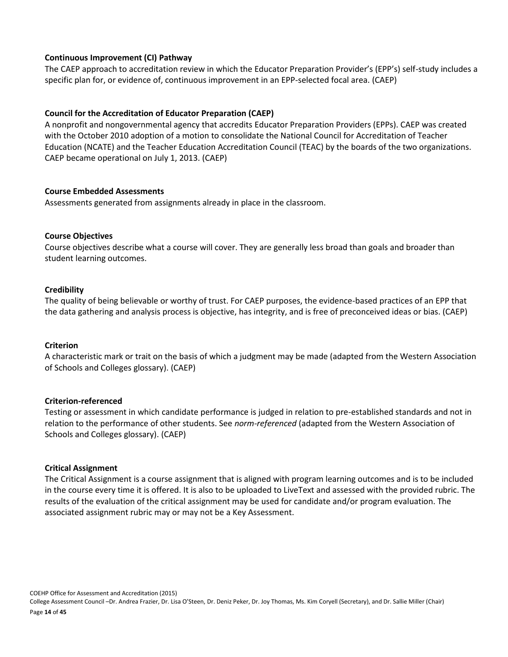### **Continuous Improvement (CI) Pathway**

The CAEP approach to accreditation review in which the Educator Preparation Provider's (EPP's) self-study includes a specific plan for, or evidence of, continuous improvement in an EPP-selected focal area. (CAEP)

### **Council for the Accreditation of Educator Preparation (CAEP)**

A nonprofit and nongovernmental agency that accredits Educator Preparation Providers (EPPs). CAEP was created with the October 2010 adoption of a motion to consolidate the National Council for Accreditation of Teacher Education (NCATE) and the Teacher Education Accreditation Council (TEAC) by the boards of the two organizations. CAEP became operational on July 1, 2013. (CAEP)

### **Course Embedded Assessments**

Assessments generated from assignments already in place in the classroom.

### **Course Objectives**

Course objectives describe what a course will cover. They are generally less broad than goals and broader than student learning outcomes.

### **Credibility**

The quality of being believable or worthy of trust. For CAEP purposes, the evidence-based practices of an EPP that the data gathering and analysis process is objective, has integrity, and is free of preconceived ideas or bias. (CAEP)

#### **Criterion**

A characteristic mark or trait on the basis of which a judgment may be made (adapted from the Western Association of Schools and Colleges glossary). (CAEP)

#### **Criterion-referenced**

Testing or assessment in which candidate performance is judged in relation to pre-established standards and not in relation to the performance of other students. See *norm-referenced* (adapted from the Western Association of Schools and Colleges glossary). (CAEP)

#### **Critical Assignment**

The Critical Assignment is a course assignment that is aligned with program learning outcomes and is to be included in the course every time it is offered. It is also to be uploaded to LiveText and assessed with the provided rubric. The results of the evaluation of the critical assignment may be used for candidate and/or program evaluation. The associated assignment rubric may or may not be a Key Assessment.

COEHP Office for Assessment and Accreditation (2015) College Assessment Council –Dr. Andrea Frazier, Dr. Lisa O'Steen, Dr. Deniz Peker, Dr. Joy Thomas, Ms. Kim Coryell (Secretary), and Dr. Sallie Miller (Chair) Page **14** of **45**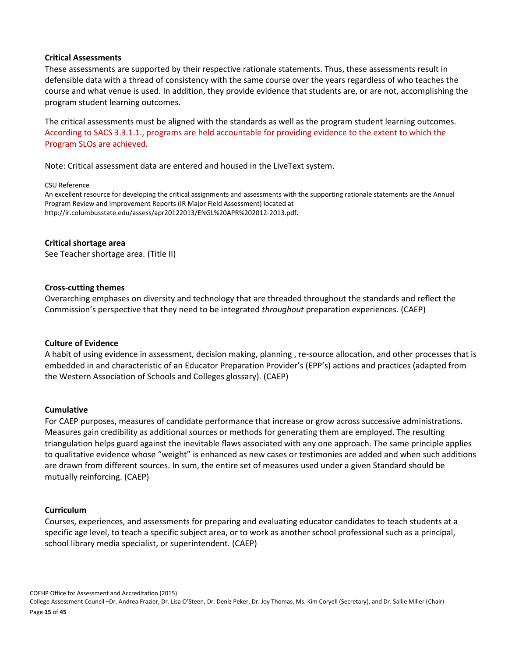#### **Critical Assessments**

These assessments are supported by their respective rationale statements. Thus, these assessments result in defensible data with a thread of consistency with the same course over the years regardless of who teaches the course and what venue is used. In addition, they provide evidence that students are, or are not, accomplishing the program student learning outcomes.

The critical assessments must be aligned with the standards as well as the program student learning outcomes. According to SACS 3.3.1.1., programs are held accountable for providing evidence to the extent to which the Program SLOs are achieved.

Note: Critical assessment data are entered and housed in the LiveText system.

#### CSU Reference

An excellent resource for developing the critical assignments and assessments with the supporting rationale statements are the Annual Program Review and Improvement Reports (IR Major Field Assessment) located at [http://ir.columbusstate.edu/assess/apr20122013/ENGL%20APR%202012-2013.pdf.](http://ir.columbusstate.edu/assess/apr20122013/ENGL%20APR%202012-2013.pdf) 

#### **Critical shortage area**

See Teacher shortage area*.* (Title II)

#### **Cross-cutting themes**

Overarching emphases on diversity and technology that are threaded throughout the standards and reflect the Commission's perspective that they need to be integrated *throughout* preparation experiences. (CAEP)

#### **Culture of Evidence**

A habit of using evidence in assessment, decision making, planning , re-source allocation, and other processes that is embedded in and characteristic of an Educator Preparation Provider's (EPP's) actions and practices (adapted from the Western Association of Schools and Colleges glossary). (CAEP)

#### **Cumulative**

For CAEP purposes, measures of candidate performance that increase or grow across successive administrations. Measures gain credibility as additional sources or methods for generating them are employed. The resulting triangulation helps guard against the inevitable flaws associated with any one approach. The same principle applies to qualitative evidence whose "weight" is enhanced as new cases or testimonies are added and when such additions are drawn from different sources. In sum, the entire set of measures used under a given Standard should be mutually reinforcing. (CAEP)

#### **Curriculum**

Courses, experiences, and assessments for preparing and evaluating educator candidates to teach students at a specific age level, to teach a specific subject area, or to work as another school professional such as a principal, school library media specialist, or superintendent. (CAEP)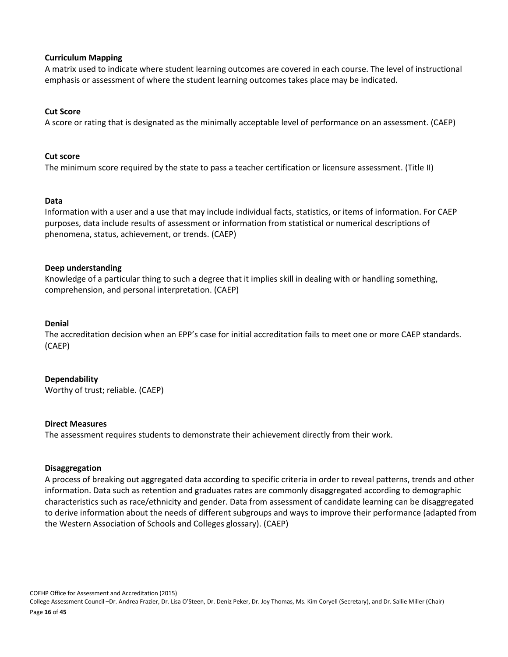### **Curriculum Mapping**

A matrix used to indicate where student learning outcomes are covered in each course. The level of instructional emphasis or assessment of where the student learning outcomes takes place may be indicated.

### **Cut Score**

A score or rating that is designated as the minimally acceptable level of performance on an assessment. (CAEP)

#### **Cut score**

The minimum score required by the state to pass a teacher certification or licensure assessment. (Title II)

### **Data**

Information with a user and a use that may include individual facts, statistics, or items of information. For CAEP purposes, data include results of assessment or information from statistical or numerical descriptions of phenomena, status, achievement, or trends. (CAEP)

### **Deep understanding**

Knowledge of a particular thing to such a degree that it implies skill in dealing with or handling something, comprehension, and personal interpretation. (CAEP)

#### **Denial**

The accreditation decision when an EPP's case for initial accreditation fails to meet one or more CAEP standards. (CAEP)

### **Dependability**

Worthy of trust; reliable. (CAEP)

#### **Direct Measures**

The assessment requires students to demonstrate their achievement directly from their work.

#### **Disaggregation**

A process of breaking out aggregated data according to specific criteria in order to reveal patterns, trends and other information. Data such as retention and graduates rates are commonly disaggregated according to demographic characteristics such as race/ethnicity and gender. Data from assessment of candidate learning can be disaggregated to derive information about the needs of different subgroups and ways to improve their performance (adapted from the Western Association of Schools and Colleges glossary). (CAEP)

COEHP Office for Assessment and Accreditation (2015) College Assessment Council –Dr. Andrea Frazier, Dr. Lisa O'Steen, Dr. Deniz Peker, Dr. Joy Thomas, Ms. Kim Coryell (Secretary), and Dr. Sallie Miller (Chair) Page **16** of **45**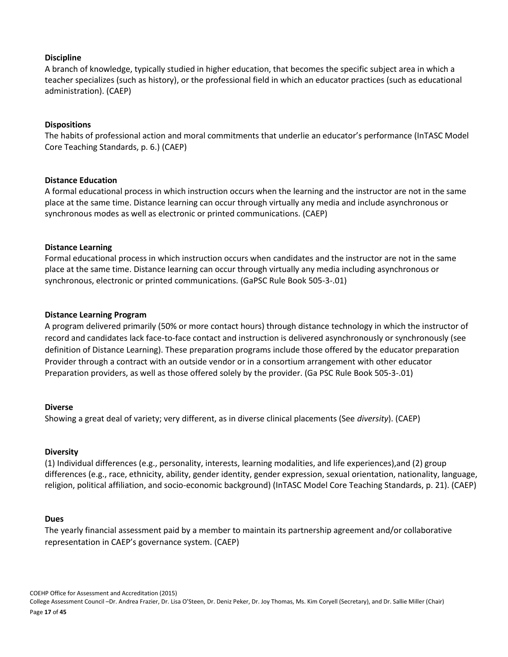### **Discipline**

A branch of knowledge, typically studied in higher education, that becomes the specific subject area in which a teacher specializes (such as history), or the professional field in which an educator practices (such as educational administration). (CAEP)

### **Dispositions**

The habits of professional action and moral commitments that underlie an educator's performance (InTASC Model Core Teaching Standards, p. 6.) (CAEP)

#### **Distance Education**

A formal educational process in which instruction occurs when the learning and the instructor are not in the same place at the same time. Distance learning can occur through virtually any media and include asynchronous or synchronous modes as well as electronic or printed communications. (CAEP)

### **Distance Learning**

Formal educational process in which instruction occurs when candidates and the instructor are not in the same place at the same time. Distance learning can occur through virtually any media including asynchronous or synchronous, electronic or printed communications. (GaPSC Rule Book 505-3-.01)

### **Distance Learning Program**

A program delivered primarily (50% or more contact hours) through distance technology in which the instructor of record and candidates lack face-to-face contact and instruction is delivered asynchronously or synchronously (see definition of Distance Learning). These preparation programs include those offered by the educator preparation Provider through a contract with an outside vendor or in a consortium arrangement with other educator Preparation providers, as well as those offered solely by the provider. (Ga PSC Rule Book 505-3-.01)

#### **Diverse**

Showing a great deal of variety; very different, as in diverse clinical placements (See *diversity*). (CAEP)

#### **Diversity**

(1) Individual differences (e.g., personality, interests, learning modalities, and life experiences),and (2) group differences (e.g., race, ethnicity, ability, gender identity, gender expression, sexual orientation, nationality, language, religion, political affiliation, and socio-economic background) (InTASC Model Core Teaching Standards, p. 21). (CAEP)

#### **Dues**

The yearly financial assessment paid by a member to maintain its partnership agreement and/or collaborative representation in CAEP's governance system. (CAEP)

COEHP Office for Assessment and Accreditation (2015) College Assessment Council –Dr. Andrea Frazier, Dr. Lisa O'Steen, Dr. Deniz Peker, Dr. Joy Thomas, Ms. Kim Coryell (Secretary), and Dr. Sallie Miller (Chair) Page **17** of **45**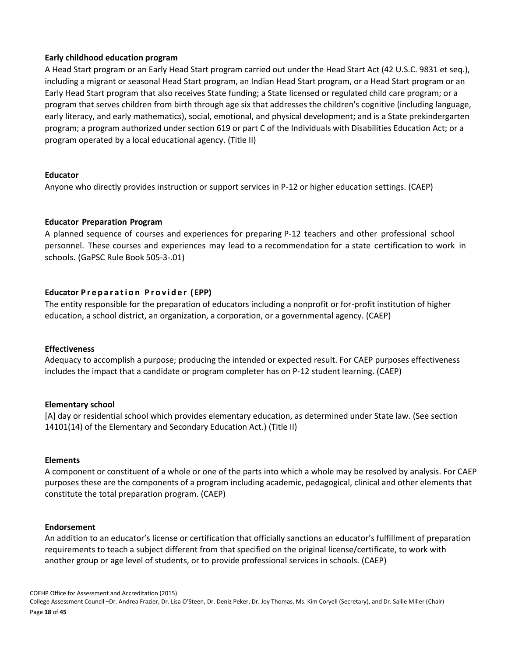### **Early childhood education program**

A Head Start program or an Early Head Start program carried out under the Head Start Act (42 U.S.C. 9831 et seq.), including a migrant or seasonal Head Start program, an Indian Head Start program, or a Head Start program or an Early Head Start program that also receives State funding; a State licensed or regulated child care program; or a program that serves children from birth through age six that addresses the children's cognitive (including language, early literacy, and early mathematics), social, emotional, and physical development; and is a State prekindergarten program; a program authorized under section 619 or part C of the Individuals with Disabilities Education Act; or a program operated by a local educational agency. (Title II)

### **Educator**

Anyone who directly provides instruction or support services in P-12 or higher education settings. (CAEP)

### **Educator Preparation Program**

A planned sequence of courses and experiences for preparing P-12 teachers and other professional school personnel. These courses and experiences may lead to a recommendation for a state certification to work in schools. (GaPSC Rule Book 505-3-.01)

### **Educator P r e p a r a t i o n P r o v i d e r ( EPP)**

The entity responsible for the preparation of educators including a nonprofit or for-profit institution of higher education, a school district, an organization, a corporation, or a governmental agency. (CAEP)

### **Effectiveness**

Adequacy to accomplish a purpose; producing the intended or expected result. For CAEP purposes effectiveness includes the impact that a candidate or program completer has on P-12 student learning. (CAEP)

### **Elementary school**

[A] day or residential school which provides elementary education, as determined under State law. (See section 14101(14) of the Elementary and Secondary Education Act.) (Title II)

### **Elements**

A component or constituent of a whole or one of the parts into which a whole may be resolved by analysis. For CAEP purposes these are the components of a program including academic, pedagogical, clinical and other elements that constitute the total preparation program. (CAEP)

#### **Endorsement**

An addition to an educator's license or certification that officially sanctions an educator's fulfillment of preparation requirements to teach a subject different from that specified on the original license/certificate, to work with another group or age level of students, or to provide professional services in schools. (CAEP)

COEHP Office for Assessment and Accreditation (2015) College Assessment Council –Dr. Andrea Frazier, Dr. Lisa O'Steen, Dr. Deniz Peker, Dr. Joy Thomas, Ms. Kim Coryell (Secretary), and Dr. Sallie Miller (Chair) Page **18** of **45**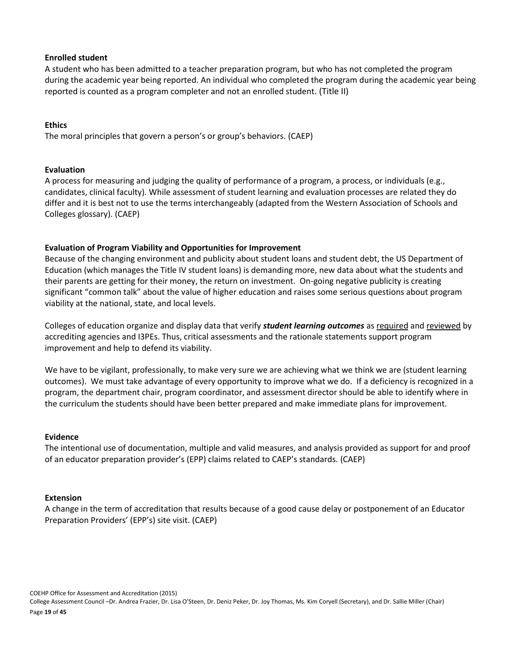### **Enrolled student**

A student who has been admitted to a teacher preparation program, but who has not completed the program during the academic year being reported. An individual who completed the program during the academic year being reported is counted as a program completer and not an enrolled student. (Title II)

### **Ethics**

The moral principles that govern a person's or group's behaviors. (CAEP)

### **Evaluation**

A process for measuring and judging the quality of performance of a program, a process, or individuals (e.g., candidates, clinical faculty). While assessment of student learning and evaluation processes are related they do differ and it is best not to use the terms interchangeably (adapted from the Western Association of Schools and Colleges glossary). (CAEP)

### **Evaluation of Program Viability and Opportunities for Improvement**

Because of the changing environment and publicity about student loans and student debt, the US Department of Education (which manages the Title IV student loans) is demanding more, new data about what the students and their parents are getting for their money, the return on investment. On-going negative publicity is creating significant "common talk" about the value of higher education and raises some serious questions about program viability at the national, state, and local levels.

Colleges of education organize and display data that verify *student learning outcomes* as required and reviewed by accrediting agencies and I3PEs. Thus, critical assessments and the rationale statements support program improvement and help to defend its viability.

We have to be vigilant, professionally, to make very sure we are achieving what we think we are (student learning outcomes). We must take advantage of every opportunity to improve what we do. If a deficiency is recognized in a program, the department chair, program coordinator, and assessment director should be able to identify where in the curriculum the students should have been better prepared and make immediate plans for improvement.

#### **Evidence**

The intentional use of documentation, multiple and valid measures, and analysis provided as support for and proof of an educator preparation provider's (EPP) claims related to CAEP's standards. (CAEP)

#### **Extension**

A change in the term of accreditation that results because of a good cause delay or postponement of an Educator Preparation Providers' (EPP's) site visit. (CAEP)

COEHP Office for Assessment and Accreditation (2015) College Assessment Council –Dr. Andrea Frazier, Dr. Lisa O'Steen, Dr. Deniz Peker, Dr. Joy Thomas, Ms. Kim Coryell (Secretary), and Dr. Sallie Miller (Chair) Page **19** of **45**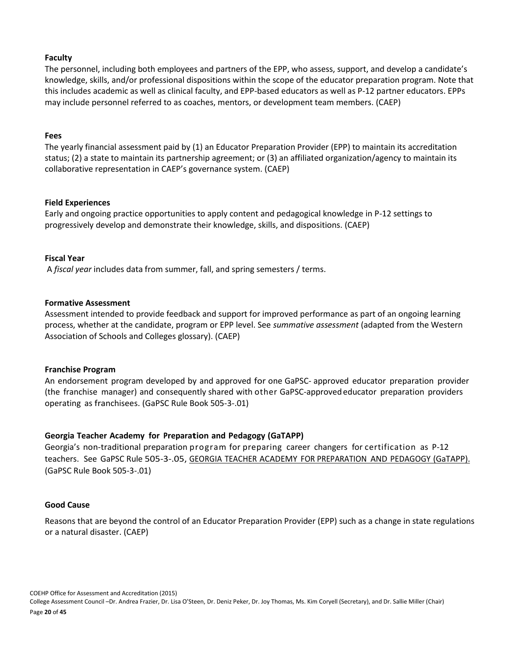### **Faculty**

The personnel, including both employees and partners of the EPP, who assess, support, and develop a candidate's knowledge, skills, and/or professional dispositions within the scope of the educator preparation program. Note that this includes academic as well as clinical faculty, and EPP-based educators as well as P-12 partner educators. EPPs may include personnel referred to as coaches, mentors, or development team members. (CAEP)

#### **Fees**

The yearly financial assessment paid by (1) an Educator Preparation Provider (EPP) to maintain its accreditation status; (2) a state to maintain its partnership agreement; or (3) an affiliated organization/agency to maintain its collaborative representation in CAEP's governance system. (CAEP)

### **Field Experiences**

Early and ongoing practice opportunities to apply content and pedagogical knowledge in P-12 settings to progressively develop and demonstrate their knowledge, skills, and dispositions. (CAEP)

### **Fiscal Year**

A *fiscal year* includes data from summer, fall, and spring semesters / terms.

### **Formative Assessment**

Assessment intended to provide feedback and support for improved performance as part of an ongoing learning process, whether at the candidate, program or EPP level. See *summative assessment* (adapted from the Western Association of Schools and Colleges glossary). (CAEP)

#### **Franchise Program**

An endorsement program developed by and approved for one GaPSC- approved educator preparation provider (the franchise manager) and consequently shared with other GaPSC-approvededucator preparation providers operating as franchisees. (GaPSC Rule Book 505-3-.01)

### **Georgia Teacher Academy for Preparation and Pedagogy (GaTAPP)**

Georgia's non-traditional preparation program for preparing career changers for certification as P-12 teachers. See GaPSC Rule 505-3-.05, GEORGIA TEACHER ACADEMY FOR PREPARATION AND PEDAGOGY (GaTAPP). (GaPSC Rule Book 505-3-.01)

#### **Good Cause**

Reasons that are beyond the control of an Educator Preparation Provider (EPP) such as a change in state regulations or a natural disaster. (CAEP)

COEHP Office for Assessment and Accreditation (2015) College Assessment Council –Dr. Andrea Frazier, Dr. Lisa O'Steen, Dr. Deniz Peker, Dr. Joy Thomas, Ms. Kim Coryell (Secretary), and Dr. Sallie Miller (Chair) Page **20** of **45**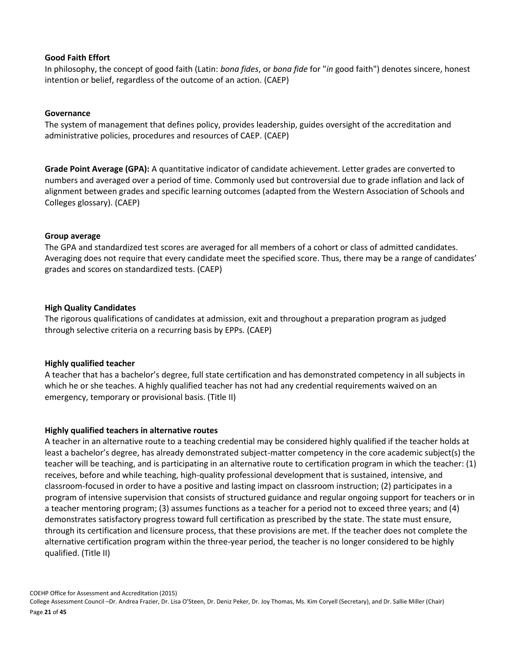### **Good Faith Effort**

In philosophy, the concept of good faith (Latin: *bona fides*, or *bona fide* for "*in* good faith") denotes sincere, honest intention or belief, regardless of the outcome of an action. (CAEP)

### **Governance**

The system of management that defines policy, provides leadership, guides oversight of the accreditation and administrative policies, procedures and resources of CAEP. (CAEP)

**Grade Point Average (GPA):** A quantitative indicator of candidate achievement. Letter grades are converted to numbers and averaged over a period of time. Commonly used but controversial due to grade inflation and lack of alignment between grades and specific learning outcomes (adapted from the Western Association of Schools and Colleges glossary). (CAEP)

### **Group average**

The GPA and standardized test scores are averaged for all members of a cohort or class of admitted candidates. Averaging does not require that every candidate meet the specified score. Thus, there may be a range of candidates' grades and scores on standardized tests. (CAEP)

### **High Quality Candidates**

The rigorous qualifications of candidates at admission, exit and throughout a preparation program as judged through selective criteria on a recurring basis by EPPs. (CAEP)

### **Highly qualified teacher**

A teacher that has a bachelor's degree, full state certification and has demonstrated competency in all subjects in which he or she teaches. A highly qualified teacher has not had any credential requirements waived on an emergency, temporary or provisional basis. (Title II)

#### **Highly qualified teachers in alternative routes**

A teacher in an alternative route to a teaching credential may be considered highly qualified if the teacher holds at least a bachelor's degree, has already demonstrated subject-matter competency in the core academic subject(s) the teacher will be teaching, and is participating in an alternative route to certification program in which the teacher: (1) receives, before and while teaching, high-quality professional development that is sustained, intensive, and classroom-focused in order to have a positive and lasting impact on classroom instruction; (2) participates in a program of intensive supervision that consists of structured guidance and regular ongoing support for teachers or in a teacher mentoring program; (3) assumes functions as a teacher for a period not to exceed three years; and (4) demonstrates satisfactory progress toward full certification as prescribed by the state. The state must ensure, through its certification and licensure process, that these provisions are met. If the teacher does not complete the alternative certification program within the three-year period, the teacher is no longer considered to be highly qualified. (Title II)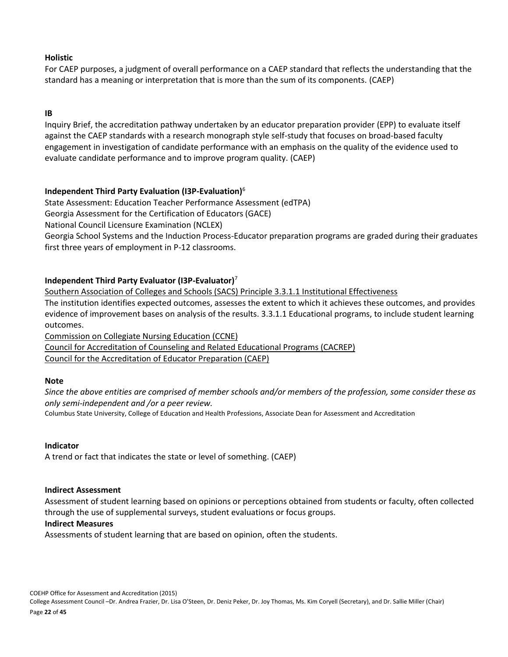### **Holistic**

For CAEP purposes, a judgment of overall performance on a CAEP standard that reflects the understanding that the standard has a meaning or interpretation that is more than the sum of its components. (CAEP)

### **IB**

Inquiry Brief, the accreditation pathway undertaken by an educator preparation provider (EPP) to evaluate itself against the CAEP standards with a research monograph style self-study that focuses on broad-based faculty engagement in investigation of candidate performance with an emphasis on the quality of the evidence used to evaluate candidate performance and to improve program quality. (CAEP)

### **Independent Third Party Evaluation (I3P-Evaluation)**<sup>6</sup>

State Assessment: Education Teacher Performance Assessment (edTPA)

Georgia Assessment for the Certification of Educators (GACE)

National Council Licensure Examination (NCLEX)

Georgia School Systems and the Induction Process-Educator preparation programs are graded during their graduates first three years of employment in P-12 classrooms.

### **Independent Third Party Evaluator (I3P-Evaluator)**<sup>7</sup>

Southern Association of Colleges and Schools (SACS) Principle 3.3.1.1 Institutional Effectiveness

The institution identifies expected outcomes, assesses the extent to which it achieves these outcomes, and provides evidence of improvement bases on analysis of the results. 3.3.1.1 Educational programs, to include student learning outcomes.

Commission on Collegiate Nursing Education (CCNE)

Council for Accreditation of Counseling and Related Educational Programs (CACREP) Council for the Accreditation of Educator Preparation (CAEP)

### **Note**

*Since the above entities are comprised of member schools and/or members of the profession, some consider these as only semi-independent and /or a peer review.*

Columbus State University, College of Education and Health Professions, Associate Dean for Assessment and Accreditation

### **Indicator**

A trend or fact that indicates the state or level of something. (CAEP)

# **Indirect Assessment**

Assessment of student learning based on opinions or perceptions obtained from students or faculty, often collected through the use of supplemental surveys, student evaluations or focus groups.

# **Indirect Measures**

Assessments of student learning that are based on opinion, often the students.

COEHP Office for Assessment and Accreditation (2015)

College Assessment Council –Dr. Andrea Frazier, Dr. Lisa O'Steen, Dr. Deniz Peker, Dr. Joy Thomas, Ms. Kim Coryell (Secretary), and Dr. Sallie Miller (Chair) Page **22** of **45**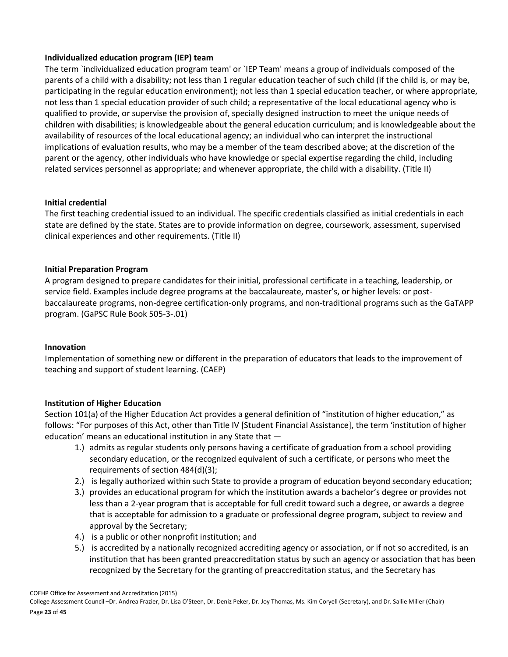### **Individualized education program (IEP) team**

The term `individualized education program team' or `IEP Team' means a group of individuals composed of the parents of a child with a disability; not less than 1 regular education teacher of such child (if the child is, or may be, participating in the regular education environment); not less than 1 special education teacher, or where appropriate, not less than 1 special education provider of such child; a representative of the local educational agency who is qualified to provide, or supervise the provision of, specially designed instruction to meet the unique needs of children with disabilities; is knowledgeable about the general education curriculum; and is knowledgeable about the availability of resources of the local educational agency; an individual who can interpret the instructional implications of evaluation results, who may be a member of the team described above; at the discretion of the parent or the agency, other individuals who have knowledge or special expertise regarding the child, including related services personnel as appropriate; and whenever appropriate, the child with a disability. (Title II)

### **Initial credential**

The first teaching credential issued to an individual. The specific credentials classified as initial credentials in each state are defined by the state. States are to provide information on degree, coursework, assessment, supervised clinical experiences and other requirements. (Title II)

### **Initial Preparation Program**

A program designed to prepare candidates for their initial, professional certificate in a teaching, leadership, or service field. Examples include degree programs at the baccalaureate, master's, or higher levels: or postbaccalaureate programs, non-degree certification-only programs, and non-traditional programs such as the GaTAPP program. (GaPSC Rule Book 505-3-.01)

#### **Innovation**

Implementation of something new or different in the preparation of educators that leads to the improvement of teaching and support of student learning. (CAEP)

### **Institution of Higher Education**

Section 101(a) of the Higher Education Act provides a general definition of "institution of higher education," as follows: "For purposes of this Act, other than Title IV [Student Financial Assistance], the term 'institution of higher education' means an educational institution in any State that —

- 1.) admits as regular students only persons having a certificate of graduation from a school providing secondary education, or the recognized equivalent of such a certificate, or persons who meet the requirements of section 484(d)(3);
- 2.) is legally authorized within such State to provide a program of education beyond secondary education;
- 3.) provides an educational program for which the institution awards a bachelor's degree or provides not less than a 2-year program that is acceptable for full credit toward such a degree, or awards a degree that is acceptable for admission to a graduate or professional degree program, subject to review and approval by the Secretary;
- 4.) is a public or other nonprofit institution; and
- 5.) is accredited by a nationally recognized accrediting agency or association, or if not so accredited, is an institution that has been granted preaccreditation status by such an agency or association that has been recognized by the Secretary for the granting of preaccreditation status, and the Secretary has

COEHP Office for Assessment and Accreditation (2015)

College Assessment Council –Dr. Andrea Frazier, Dr. Lisa O'Steen, Dr. Deniz Peker, Dr. Joy Thomas, Ms. Kim Coryell (Secretary), and Dr. Sallie Miller (Chair)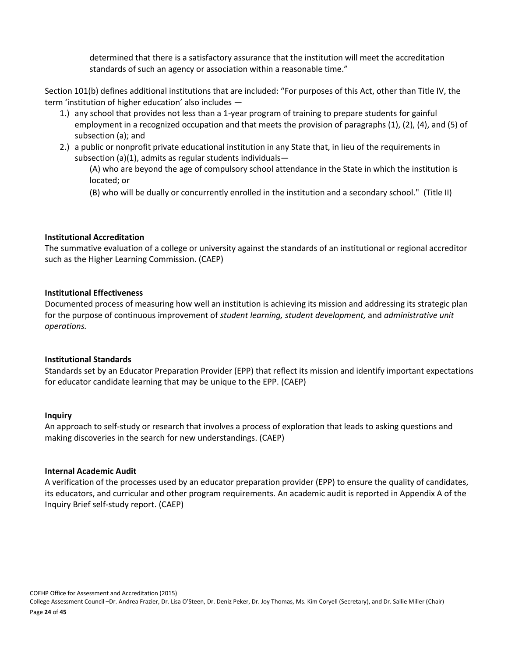determined that there is a satisfactory assurance that the institution will meet the accreditation standards of such an agency or association within a reasonable time."

Section 101(b) defines additional institutions that are included: "For purposes of this Act, other than Title IV, the term 'institution of higher education' also includes —

- 1.) any school that provides not less than a 1-year program of training to prepare students for gainful employment in a recognized occupation and that meets the provision of paragraphs (1), (2), (4), and (5) of subsection (a); and
- 2.) a public or nonprofit private educational institution in any State that, in lieu of the requirements in subsection (a)(1), admits as regular students individuals—

(A) who are beyond the age of compulsory school attendance in the State in which the institution is located; or

(B) who will be dually or concurrently enrolled in the institution and a secondary school." (Title II)

### **Institutional Accreditation**

The summative evaluation of a college or university against the standards of an institutional or regional accreditor such as the Higher Learning Commission. (CAEP)

### **Institutional Effectiveness**

Documented process of measuring how well an institution is achieving its mission and addressing its strategic plan for the purpose of continuous improvement of *student learning, student development,* and *administrative unit operations.* 

#### **Institutional Standards**

Standards set by an Educator Preparation Provider (EPP) that reflect its mission and identify important expectations for educator candidate learning that may be unique to the EPP. (CAEP)

#### **Inquiry**

An approach to self-study or research that involves a process of exploration that leads to asking questions and making discoveries in the search for new understandings. (CAEP)

#### **Internal Academic Audit**

A verification of the processes used by an educator preparation provider (EPP) to ensure the quality of candidates, its educators, and curricular and other program requirements. An academic audit is reported in Appendix A of the Inquiry Brief self-study report. (CAEP)

COEHP Office for Assessment and Accreditation (2015) College Assessment Council –Dr. Andrea Frazier, Dr. Lisa O'Steen, Dr. Deniz Peker, Dr. Joy Thomas, Ms. Kim Coryell (Secretary), and Dr. Sallie Miller (Chair) Page **24** of **45**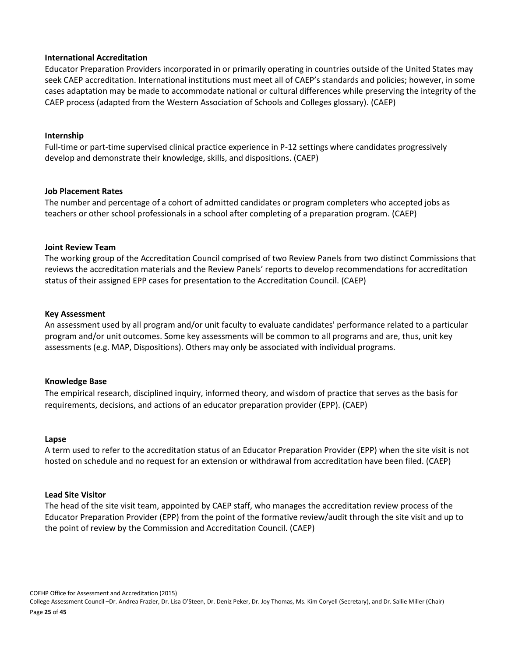#### **International Accreditation**

Educator Preparation Providers incorporated in or primarily operating in countries outside of the United States may seek CAEP accreditation. International institutions must meet all of CAEP's standards and policies; however, in some cases adaptation may be made to accommodate national or cultural differences while preserving the integrity of the CAEP process (adapted from the Western Association of Schools and Colleges glossary). (CAEP)

### **Internship**

Full-time or part-time supervised clinical practice experience in P-12 settings where candidates progressively develop and demonstrate their knowledge, skills, and dispositions. (CAEP)

### **Job Placement Rates**

The number and percentage of a cohort of admitted candidates or program completers who accepted jobs as teachers or other school professionals in a school after completing of a preparation program. (CAEP)

### **Joint Review Team**

The working group of the Accreditation Council comprised of two Review Panels from two distinct Commissions that reviews the accreditation materials and the Review Panels' reports to develop recommendations for accreditation status of their assigned EPP cases for presentation to the Accreditation Council. (CAEP)

### **Key Assessment**

An assessment used by all program and/or unit faculty to evaluate candidates' performance related to a particular program and/or unit outcomes. Some key assessments will be common to all programs and are, thus, unit key assessments (e.g. MAP, Dispositions). Others may only be associated with individual programs.

### **Knowledge Base**

The empirical research, disciplined inquiry, informed theory, and wisdom of practice that serves as the basis for requirements, decisions, and actions of an educator preparation provider (EPP). (CAEP)

#### **Lapse**

A term used to refer to the accreditation status of an Educator Preparation Provider (EPP) when the site visit is not hosted on schedule and no request for an extension or withdrawal from accreditation have been filed. (CAEP)

#### **Lead Site Visitor**

The head of the site visit team, appointed by CAEP staff, who manages the accreditation review process of the Educator Preparation Provider (EPP) from the point of the formative review/audit through the site visit and up to the point of review by the Commission and Accreditation Council. (CAEP)

COEHP Office for Assessment and Accreditation (2015) College Assessment Council –Dr. Andrea Frazier, Dr. Lisa O'Steen, Dr. Deniz Peker, Dr. Joy Thomas, Ms. Kim Coryell (Secretary), and Dr. Sallie Miller (Chair) Page **25** of **45**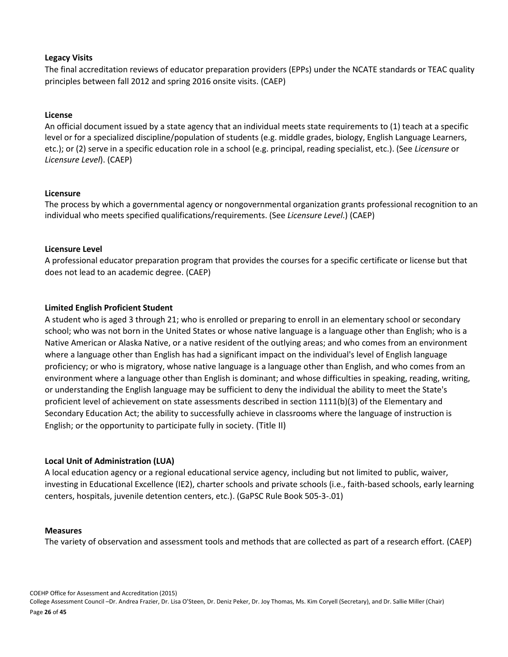### **Legacy Visits**

The final accreditation reviews of educator preparation providers (EPPs) under the NCATE standards or TEAC quality principles between fall 2012 and spring 2016 onsite visits. (CAEP)

### **License**

An official document issued by a state agency that an individual meets state requirements to (1) teach at a specific level or for a specialized discipline/population of students (e.g. middle grades, biology, English Language Learners, etc.); or (2) serve in a specific education role in a school (e.g. principal, reading specialist, etc.). (See *Licensure* or *Licensure Level*). (CAEP)

### **Licensure**

The process by which a governmental agency or nongovernmental organization grants professional recognition to an individual who meets specified qualifications/requirements. (See *Licensure Level*.) (CAEP)

### **Licensure Level**

A professional educator preparation program that provides the courses for a specific certificate or license but that does not lead to an academic degree. (CAEP)

### **Limited English Proficient Student**

A student who is aged 3 through 21; who is enrolled or preparing to enroll in an elementary school or secondary school; who was not born in the United States or whose native language is a language other than English; who is a Native American or Alaska Native, or a native resident of the outlying areas; and who comes from an environment where a language other than English has had a significant impact on the individual's level of English language proficiency; or who is migratory, whose native language is a language other than English, and who comes from an environment where a language other than English is dominant; and whose difficulties in speaking, reading, writing, or understanding the English language may be sufficient to deny the individual the ability to meet the State's proficient level of achievement on state assessments described in section 1111(b)(3) of the Elementary and Secondary Education Act; the ability to successfully achieve in classrooms where the language of instruction is English; or the opportunity to participate fully in society. (Title II)

#### **Local Unit of Administration (LUA)**

A local education agency or a regional educational service agency, including but not limited to public, waiver, investing in Educational Excellence (IE2), charter schools and private schools (i.e., faith-based schools, early learning centers, hospitals, juvenile detention centers, etc.). (GaPSC Rule Book 505-3-.01)

#### **Measures**

The variety of observation and assessment tools and methods that are collected as part of a research effort. (CAEP)

COEHP Office for Assessment and Accreditation (2015) College Assessment Council –Dr. Andrea Frazier, Dr. Lisa O'Steen, Dr. Deniz Peker, Dr. Joy Thomas, Ms. Kim Coryell (Secretary), and Dr. Sallie Miller (Chair) Page **26** of **45**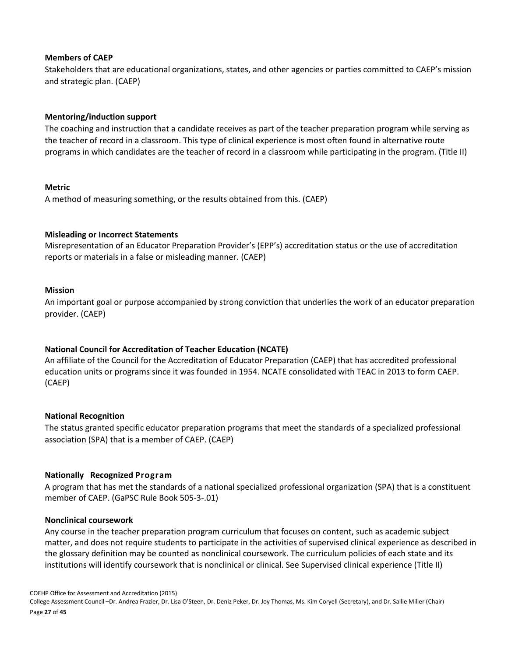### **Members of CAEP**

Stakeholders that are educational organizations, states, and other agencies or parties committed to CAEP's mission and strategic plan. (CAEP)

### **Mentoring/induction support**

The coaching and instruction that a candidate receives as part of the teacher preparation program while serving as the teacher of record in a classroom. This type of clinical experience is most often found in alternative route programs in which candidates are the teacher of record in a classroom while participating in the program. (Title II)

### **Metric**

A method of measuring something, or the results obtained from this. (CAEP)

### **Misleading or Incorrect Statements**

Misrepresentation of an Educator Preparation Provider's (EPP's) accreditation status or the use of accreditation reports or materials in a false or misleading manner. (CAEP)

### **Mission**

An important goal or purpose accompanied by strong conviction that underlies the work of an educator preparation provider. (CAEP)

### **National Council for Accreditation of Teacher Education (NCATE)**

An affiliate of the Council for the Accreditation of Educator Preparation (CAEP) that has accredited professional education units or programs since it was founded in 1954. NCATE consolidated with TEAC in 2013 to form CAEP. (CAEP)

### **National Recognition**

The status granted specific educator preparation programs that meet the standards of a specialized professional association (SPA) that is a member of CAEP. (CAEP)

### **Nationally Recognized Program**

A program that has met the standards of a national specialized professional organization (SPA) that is a constituent member of CAEP. (GaPSC Rule Book 505-3-.01)

### **Nonclinical coursework**

Any course in the teacher preparation program curriculum that focuses on content, such as academic subject matter, and does not require students to participate in the activities of supervised clinical experience as described in the glossary definition may be counted as nonclinical coursework. The curriculum policies of each state and its institutions will identify coursework that is nonclinical or clinical. See Supervised clinical experience (Title II)

COEHP Office for Assessment and Accreditation (2015)

College Assessment Council –Dr. Andrea Frazier, Dr. Lisa O'Steen, Dr. Deniz Peker, Dr. Joy Thomas, Ms. Kim Coryell (Secretary), and Dr. Sallie Miller (Chair) Page **27** of **45**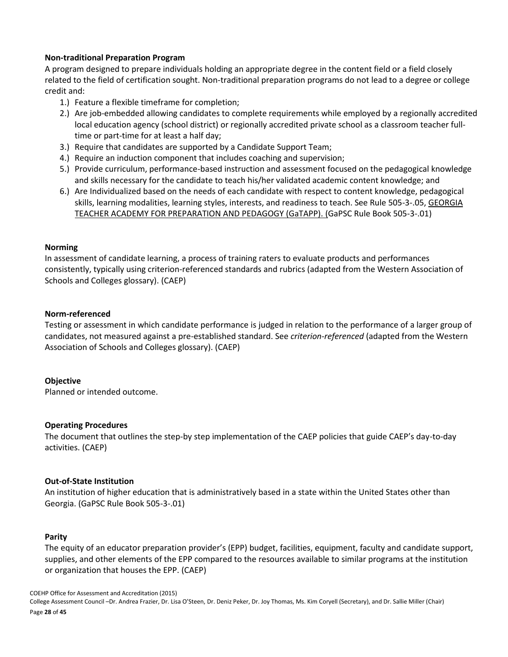### **Non-traditional Preparation Program**

A program designed to prepare individuals holding an appropriate degree in the content field or a field closely related to the field of certification sought. Non-traditional preparation programs do not lead to a degree or college credit and:

- 1.) Feature a flexible timeframe for completion;
- 2.) Are job-embedded allowing candidates to complete requirements while employed by a regionally accredited local education agency (school district) or regionally accredited private school as a classroom teacher fulltime or part-time for at least a half day;
- 3.) Require that candidates are supported by a Candidate Support Team;
- 4.) Require an induction component that includes coaching and supervision;
- 5.) Provide curriculum, performance-based instruction and assessment focused on the pedagogical knowledge and skills necessary for the candidate to teach his/her validated academic content knowledge; and
- 6.) Are Individualized based on the needs of each candidate with respect to content knowledge, pedagogical skills, learning modalities, learning styles, interests, and readiness to teach. See Rule 505-3-.05, GEORGIA TEACHER ACADEMY FOR PREPARATION AND PEDAGOGY (GaTAPP). (GaPSC Rule Book 505-3-.01)

### **Norming**

In assessment of candidate learning, a process of training raters to evaluate products and performances consistently, typically using criterion-referenced standards and rubrics (adapted from the Western Association of Schools and Colleges glossary). (CAEP)

### **Norm-referenced**

Testing or assessment in which candidate performance is judged in relation to the performance of a larger group of candidates, not measured against a pre-established standard. See *criterion-referenced* (adapted from the Western Association of Schools and Colleges glossary). (CAEP)

### **Objective**

Planned or intended outcome.

#### **Operating Procedures**

The document that outlines the step-by step implementation of the CAEP policies that guide CAEP's day-to-day activities. (CAEP)

#### **Out-of-State Institution**

An institution of higher education that is administratively based in a state within the United States other than Georgia. (GaPSC Rule Book 505-3-.01)

#### **Parity**

The equity of an educator preparation provider's (EPP) budget, facilities, equipment, faculty and candidate support, supplies, and other elements of the EPP compared to the resources available to similar programs at the institution or organization that houses the EPP. (CAEP)

COEHP Office for Assessment and Accreditation (2015) College Assessment Council –Dr. Andrea Frazier, Dr. Lisa O'Steen, Dr. Deniz Peker, Dr. Joy Thomas, Ms. Kim Coryell (Secretary), and Dr. Sallie Miller (Chair) Page **28** of **45**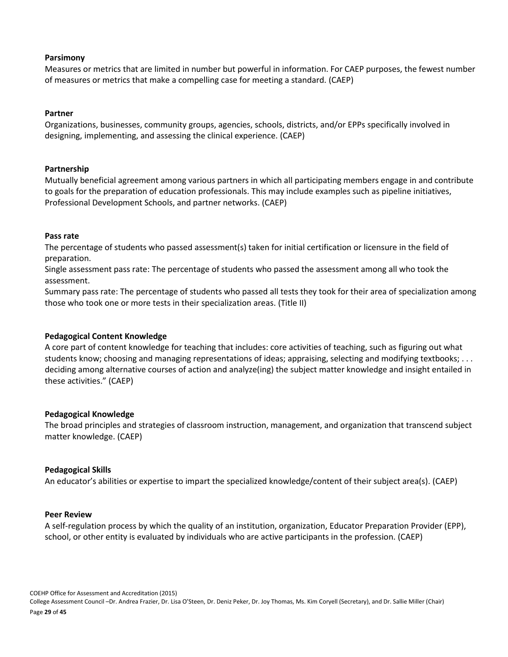#### **Parsimony**

Measures or metrics that are limited in number but powerful in information. For CAEP purposes, the fewest number of measures or metrics that make a compelling case for meeting a standard. (CAEP)

### **Partner**

Organizations, businesses, community groups, agencies, schools, districts, and/or EPPs specifically involved in designing, implementing, and assessing the clinical experience. (CAEP)

### **Partnership**

Mutually beneficial agreement among various partners in which all participating members engage in and contribute to goals for the preparation of education professionals. This may include examples such as pipeline initiatives, Professional Development Schools, and partner networks. (CAEP)

#### **Pass rate**

The percentage of students who passed assessment(s) taken for initial certification or licensure in the field of preparation.

Single assessment pass rate: The percentage of students who passed the assessment among all who took the assessment.

Summary pass rate: The percentage of students who passed all tests they took for their area of specialization among those who took one or more tests in their specialization areas. (Title II)

### **Pedagogical Content Knowledge**

A core part of content knowledge for teaching that includes: core activities of teaching, such as figuring out what students know; choosing and managing representations of ideas; appraising, selecting and modifying textbooks; . . . deciding among alternative courses of action and analyze(ing) the subject matter knowledge and insight entailed in these activities." (CAEP)

#### **Pedagogical Knowledge**

The broad principles and strategies of classroom instruction, management, and organization that transcend subject matter knowledge. (CAEP)

### **Pedagogical Skills**

An educator's abilities or expertise to impart the specialized knowledge/content of their subject area(s). (CAEP)

#### **Peer Review**

A self-regulation process by which the quality of an institution, organization, Educator Preparation Provider (EPP), school, or other entity is evaluated by individuals who are active participants in the profession. (CAEP)

COEHP Office for Assessment and Accreditation (2015) College Assessment Council –Dr. Andrea Frazier, Dr. Lisa O'Steen, Dr. Deniz Peker, Dr. Joy Thomas, Ms. Kim Coryell (Secretary), and Dr. Sallie Miller (Chair) Page **29** of **45**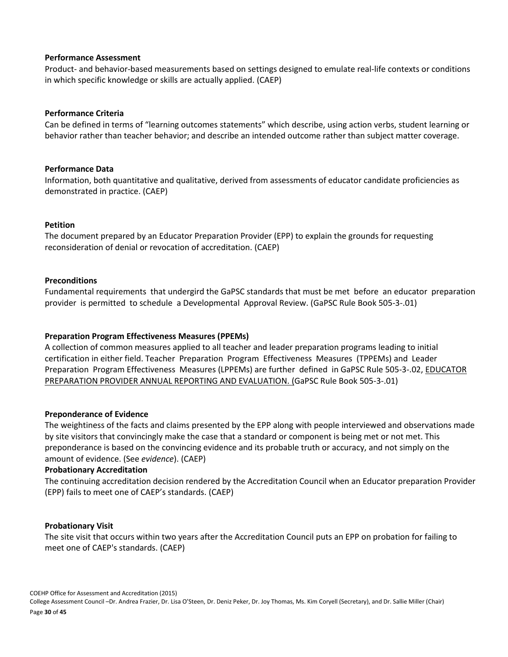#### **Performance Assessment**

Product- and behavior-based measurements based on settings designed to emulate real-life contexts or conditions in which specific knowledge or skills are actually applied. (CAEP)

### **Performance Criteria**

Can be defined in terms of "learning outcomes statements" which describe, using action verbs, student learning or behavior rather than teacher behavior; and describe an intended outcome rather than subject matter coverage.

### **Performance Data**

Information, both quantitative and qualitative, derived from assessments of educator candidate proficiencies as demonstrated in practice. (CAEP)

### **Petition**

The document prepared by an Educator Preparation Provider (EPP) to explain the grounds for requesting reconsideration of denial or revocation of accreditation. (CAEP)

### **Preconditions**

Fundamental requirements that undergird the GaPSC standards that must be met before an educator preparation provider is permitted to schedule a Developmental Approval Review. (GaPSC Rule Book 505-3-.01)

### **Preparation Program Effectiveness Measures (PPEMs)**

A collection of common measures applied to all teacher and leader preparation programs leading to initial certification in either field. Teacher Preparation Program Effectiveness Measures (TPPEMs) and Leader Preparation Program Effectiveness Measures (LPPEMs) are further defined in GaPSC Rule 505-3-.02, EDUCATOR PREPARATION PROVIDER ANNUAL REPORTING AND EVALUATION. (GaPSC Rule Book 505-3-.01)

#### **Preponderance of Evidence**

The weightiness of the facts and claims presented by the EPP along with people interviewed and observations made by site visitors that convincingly make the case that a standard or component is being met or not met. This preponderance is based on the convincing evidence and its probable truth or accuracy, and not simply on the amount of evidence. (See *evidence*). (CAEP)

#### **Probationary Accreditation**

The continuing accreditation decision rendered by the Accreditation Council when an Educator preparation Provider (EPP) fails to meet one of CAEP's standards. (CAEP)

#### **Probationary Visit**

The site visit that occurs within two years after the Accreditation Council puts an EPP on probation for failing to meet one of CAEP's standards. (CAEP)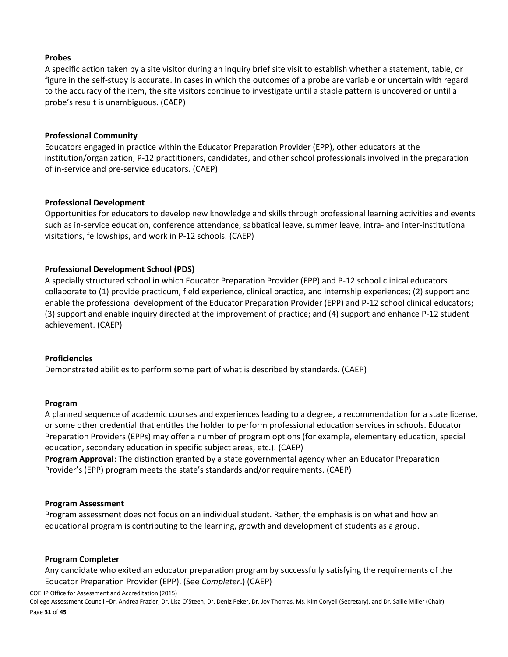### **Probes**

A specific action taken by a site visitor during an inquiry brief site visit to establish whether a statement, table, or figure in the self-study is accurate. In cases in which the outcomes of a probe are variable or uncertain with regard to the accuracy of the item, the site visitors continue to investigate until a stable pattern is uncovered or until a probe's result is unambiguous. (CAEP)

### **Professional Community**

Educators engaged in practice within the Educator Preparation Provider (EPP), other educators at the institution/organization, P-12 practitioners, candidates, and other school professionals involved in the preparation of in-service and pre-service educators. (CAEP)

### **Professional Development**

Opportunities for educators to develop new knowledge and skills through professional learning activities and events such as in-service education, conference attendance, sabbatical leave, summer leave, intra- and inter-institutional visitations, fellowships, and work in P-12 schools. (CAEP)

### **Professional Development School (PDS)**

A specially structured school in which Educator Preparation Provider (EPP) and P-12 school clinical educators collaborate to (1) provide practicum, field experience, clinical practice, and internship experiences; (2) support and enable the professional development of the Educator Preparation Provider (EPP) and P-12 school clinical educators; (3) support and enable inquiry directed at the improvement of practice; and (4) support and enhance P-12 student achievement. (CAEP)

#### **Proficiencies**

Demonstrated abilities to perform some part of what is described by standards. (CAEP)

#### **Program**

A planned sequence of academic courses and experiences leading to a degree, a recommendation for a state license, or some other credential that entitles the holder to perform professional education services in schools. Educator Preparation Providers (EPPs) may offer a number of program options (for example, elementary education, special education, secondary education in specific subject areas, etc.). (CAEP)

**Program Approval**: The distinction granted by a state governmental agency when an Educator Preparation Provider's (EPP) program meets the state's standards and/or requirements. (CAEP)

#### **Program Assessment**

Program assessment does not focus on an individual student. Rather, the emphasis is on what and how an educational program is contributing to the learning, growth and development of students as a group.

#### **Program Completer**

Any candidate who exited an educator preparation program by successfully satisfying the requirements of the Educator Preparation Provider (EPP). (See *Completer*.) (CAEP)

COEHP Office for Assessment and Accreditation (2015)

College Assessment Council –Dr. Andrea Frazier, Dr. Lisa O'Steen, Dr. Deniz Peker, Dr. Joy Thomas, Ms. Kim Coryell (Secretary), and Dr. Sallie Miller (Chair) Page **31** of **45**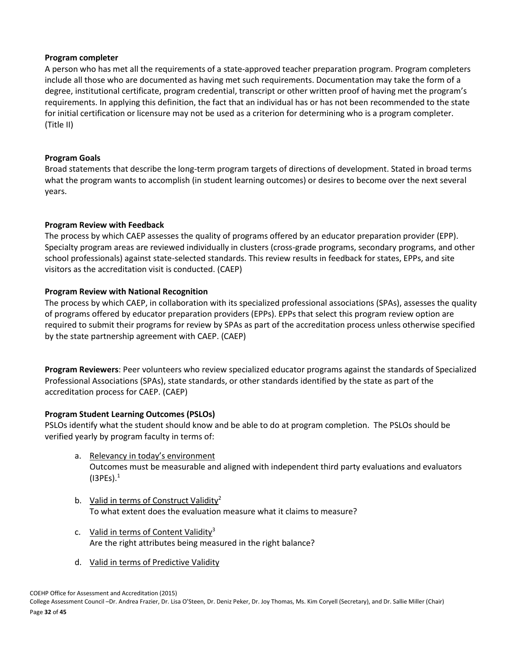### **Program completer**

A person who has met all the requirements of a state-approved teacher preparation program. Program completers include all those who are documented as having met such requirements. Documentation may take the form of a degree, institutional certificate, program credential, transcript or other written proof of having met the program's requirements. In applying this definition, the fact that an individual has or has not been recommended to the state for initial certification or licensure may not be used as a criterion for determining who is a program completer. (Title II)

### **Program Goals**

Broad statements that describe the long-term program targets of directions of development. Stated in broad terms what the program wants to accomplish (in student learning outcomes) or desires to become over the next several years.

### **Program Review with Feedback**

The process by which CAEP assesses the quality of programs offered by an educator preparation provider (EPP). Specialty program areas are reviewed individually in clusters (cross-grade programs, secondary programs, and other school professionals) against state-selected standards. This review results in feedback for states, EPPs, and site visitors as the accreditation visit is conducted. (CAEP)

### **Program Review with National Recognition**

The process by which CAEP, in collaboration with its specialized professional associations (SPAs), assesses the quality of programs offered by educator preparation providers (EPPs). EPPs that select this program review option are required to submit their programs for review by SPAs as part of the accreditation process unless otherwise specified by the state partnership agreement with CAEP. (CAEP)

**Program Reviewers**: Peer volunteers who review specialized educator programs against the standards of Specialized Professional Associations (SPAs), state standards, or other standards identified by the state as part of the accreditation process for CAEP. (CAEP)

### **Program Student Learning Outcomes (PSLOs)**

PSLOs identify what the student should know and be able to do at program completion. The PSLOs should be verified yearly by program faculty in terms of:

- a. Relevancy in today's environment Outcomes must be measurable and aligned with independent third party evaluations and evaluators  $(I3PEs).<sup>1</sup>$
- b. Valid in terms of Construct Validity<sup>2</sup> To what extent does the evaluation measure what it claims to measure?
- c. Valid in terms of Content Validity<sup>3</sup> Are the right attributes being measured in the right balance?
- d. Valid in terms of Predictive Validity

COEHP Office for Assessment and Accreditation (2015)

College Assessment Council –Dr. Andrea Frazier, Dr. Lisa O'Steen, Dr. Deniz Peker, Dr. Joy Thomas, Ms. Kim Coryell (Secretary), and Dr. Sallie Miller (Chair) Page **32** of **45**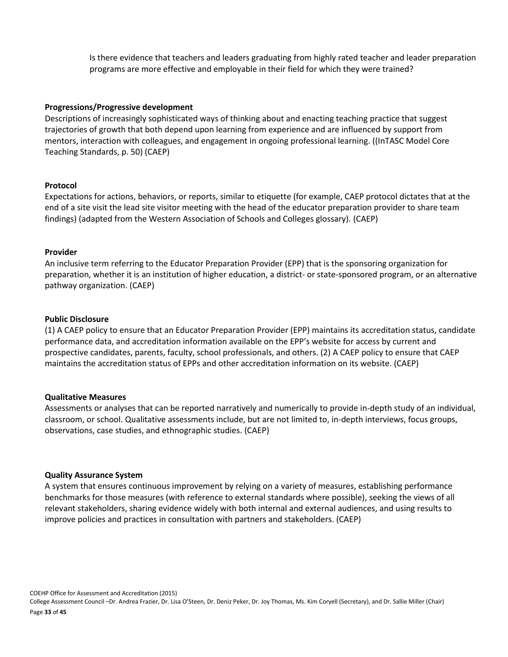Is there evidence that teachers and leaders graduating from highly rated teacher and leader preparation programs are more effective and employable in their field for which they were trained?

#### **Progressions/Progressive development**

Descriptions of increasingly sophisticated ways of thinking about and enacting teaching practice that suggest trajectories of growth that both depend upon learning from experience and are influenced by support from mentors, interaction with colleagues, and engagement in ongoing professional learning. ((InTASC Model Core Teaching Standards, p. 50) (CAEP)

### **Protocol**

Expectations for actions, behaviors, or reports, similar to etiquette (for example, CAEP protocol dictates that at the end of a site visit the lead site visitor meeting with the head of the educator preparation provider to share team findings) (adapted from the Western Association of Schools and Colleges glossary). (CAEP)

### **Provider**

An inclusive term referring to the Educator Preparation Provider (EPP) that is the sponsoring organization for preparation, whether it is an institution of higher education, a district- or state-sponsored program, or an alternative pathway organization. (CAEP)

### **Public Disclosure**

(1) A CAEP policy to ensure that an Educator Preparation Provider (EPP) maintains its accreditation status, candidate performance data, and accreditation information available on the EPP's website for access by current and prospective candidates, parents, faculty, school professionals, and others. (2) A CAEP policy to ensure that CAEP maintains the accreditation status of EPPs and other accreditation information on its website. (CAEP)

#### **Qualitative Measures**

Assessments or analyses that can be reported narratively and numerically to provide in-depth study of an individual, classroom, or school. Qualitative assessments include, but are not limited to, in-depth interviews, focus groups, observations, case studies, and ethnographic studies. (CAEP)

#### **Quality Assurance System**

A system that ensures continuous improvement by relying on a variety of measures, establishing performance benchmarks for those measures (with reference to external standards where possible), seeking the views of all relevant stakeholders, sharing evidence widely with both internal and external audiences, and using results to improve policies and practices in consultation with partners and stakeholders. (CAEP)

COEHP Office for Assessment and Accreditation (2015) College Assessment Council –Dr. Andrea Frazier, Dr. Lisa O'Steen, Dr. Deniz Peker, Dr. Joy Thomas, Ms. Kim Coryell (Secretary), and Dr. Sallie Miller (Chair)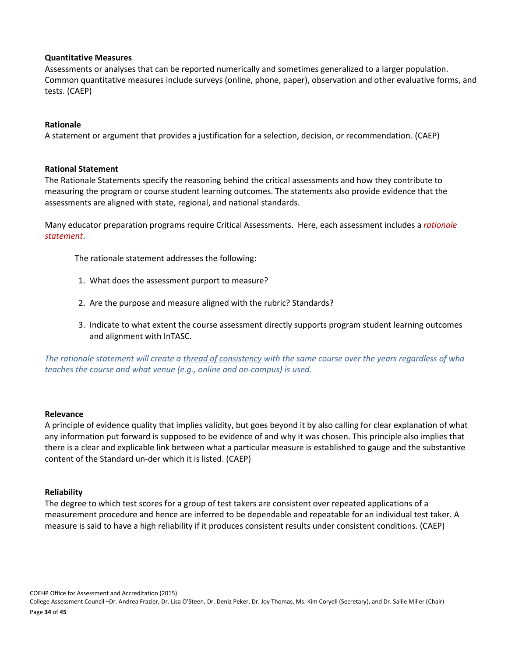#### **Quantitative Measures**

Assessments or analyses that can be reported numerically and sometimes generalized to a larger population. Common quantitative measures include surveys (online, phone, paper), observation and other evaluative forms, and tests. (CAEP)

### **Rationale**

A statement or argument that provides a justification for a selection, decision, or recommendation. (CAEP)

### **Rational Statement**

The Rationale Statements specify the reasoning behind the critical assessments and how they contribute to measuring the program or course student learning outcomes. The statements also provide evidence that the assessments are aligned with state, regional, and national standards.

Many educator preparation programs require Critical Assessments. Here, each assessment includes a *rationale statement*.

The rationale statement addresses the following:

- 1. What does the assessment purport to measure?
- 2. Are the purpose and measure aligned with the rubric? Standards?
- 3. Indicate to what extent the course assessment directly supports program student learning outcomes and alignment with InTASC.

*The rationale statement will create a thread of consistency with the same course over the years regardless of who teaches the course and what venue (e.g., online and on-campus) is used.*

#### **Relevance**

A principle of evidence quality that implies validity, but goes beyond it by also calling for clear explanation of what any information put forward is supposed to be evidence of and why it was chosen. This principle also implies that there is a clear and explicable link between what a particular measure is established to gauge and the substantive content of the Standard un-der which it is listed. (CAEP)

#### **Reliability**

The degree to which test scores for a group of test takers are consistent over repeated applications of a measurement procedure and hence are inferred to be dependable and repeatable for an individual test taker. A measure is said to have a high reliability if it produces consistent results under consistent conditions. (CAEP)

COEHP Office for Assessment and Accreditation (2015) College Assessment Council –Dr. Andrea Frazier, Dr. Lisa O'Steen, Dr. Deniz Peker, Dr. Joy Thomas, Ms. Kim Coryell (Secretary), and Dr. Sallie Miller (Chair) Page **34** of **45**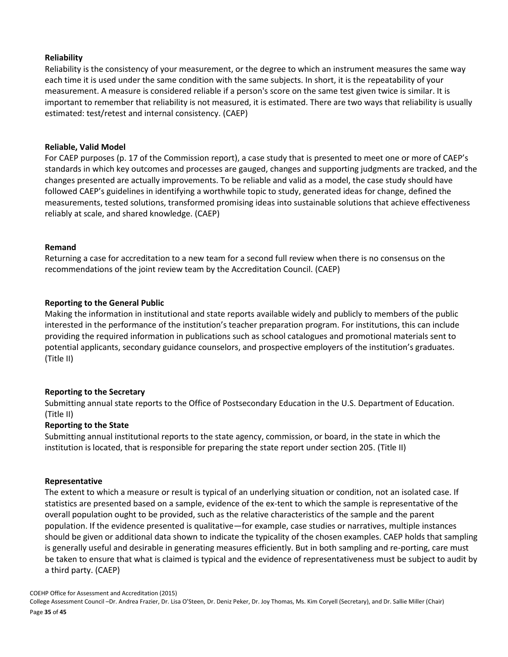### **Reliability**

Reliability is the consistency of your measurement, or the degree to which an instrument measures the same way each time it is used under the same condition with the same subjects. In short, it is the repeatability of your measurement. A measure is considered reliable if a person's score on the same test given twice is similar. It is important to remember that reliability is not measured, it is estimated. There are two ways that reliability is usually estimated: test/retest and internal consistency. (CAEP)

### **Reliable, Valid Model**

For CAEP purposes (p. 17 of the Commission report), a case study that is presented to meet one or more of CAEP's standards in which key outcomes and processes are gauged, changes and supporting judgments are tracked, and the changes presented are actually improvements. To be reliable and valid as a model, the case study should have followed CAEP's guidelines in identifying a worthwhile topic to study, generated ideas for change, defined the measurements, tested solutions, transformed promising ideas into sustainable solutions that achieve effectiveness reliably at scale, and shared knowledge. (CAEP)

### **Remand**

Returning a case for accreditation to a new team for a second full review when there is no consensus on the recommendations of the joint review team by the Accreditation Council. (CAEP)

### **Reporting to the General Public**

Making the information in institutional and state reports available widely and publicly to members of the public interested in the performance of the institution's teacher preparation program. For institutions, this can include providing the required information in publications such as school catalogues and promotional materials sent to potential applicants, secondary guidance counselors, and prospective employers of the institution's graduates. (Title II)

### **Reporting to the Secretary**

Submitting annual state reports to the Office of Postsecondary Education in the U.S. Department of Education. (Title II)

### **Reporting to the State**

Submitting annual institutional reports to the state agency, commission, or board, in the state in which the institution is located, that is responsible for preparing the state report under section 205. (Title II)

#### **Representative**

The extent to which a measure or result is typical of an underlying situation or condition, not an isolated case. If statistics are presented based on a sample, evidence of the ex-tent to which the sample is representative of the overall population ought to be provided, such as the relative characteristics of the sample and the parent population. If the evidence presented is qualitative—for example, case studies or narratives, multiple instances should be given or additional data shown to indicate the typicality of the chosen examples. CAEP holds that sampling is generally useful and desirable in generating measures efficiently. But in both sampling and re-porting, care must be taken to ensure that what is claimed is typical and the evidence of representativeness must be subject to audit by a third party. (CAEP)

College Assessment Council –Dr. Andrea Frazier, Dr. Lisa O'Steen, Dr. Deniz Peker, Dr. Joy Thomas, Ms. Kim Coryell (Secretary), and Dr. Sallie Miller (Chair) Page **35** of **45**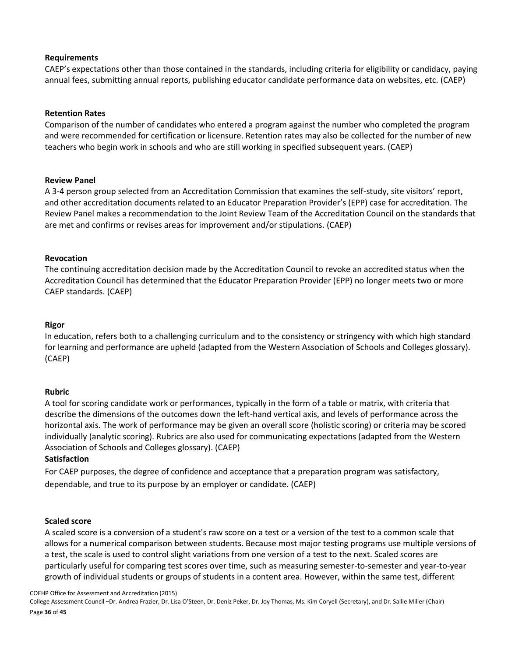### **Requirements**

CAEP's expectations other than those contained in the standards, including criteria for eligibility or candidacy, paying annual fees, submitting annual reports, publishing educator candidate performance data on websites, etc. (CAEP)

### **Retention Rates**

Comparison of the number of candidates who entered a program against the number who completed the program and were recommended for certification or licensure. Retention rates may also be collected for the number of new teachers who begin work in schools and who are still working in specified subsequent years. (CAEP)

### **Review Panel**

A 3-4 person group selected from an Accreditation Commission that examines the self-study, site visitors' report, and other accreditation documents related to an Educator Preparation Provider's (EPP) case for accreditation. The Review Panel makes a recommendation to the Joint Review Team of the Accreditation Council on the standards that are met and confirms or revises areas for improvement and/or stipulations. (CAEP)

### **Revocation**

The continuing accreditation decision made by the Accreditation Council to revoke an accredited status when the Accreditation Council has determined that the Educator Preparation Provider (EPP) no longer meets two or more CAEP standards. (CAEP)

### **Rigor**

In education, refers both to a challenging curriculum and to the consistency or stringency with which high standard for learning and performance are upheld (adapted from the Western Association of Schools and Colleges glossary). (CAEP)

#### **Rubric**

A tool for scoring candidate work or performances, typically in the form of a table or matrix, with criteria that describe the dimensions of the outcomes down the left-hand vertical axis, and levels of performance across the horizontal axis. The work of performance may be given an overall score (holistic scoring) or criteria may be scored individually (analytic scoring). Rubrics are also used for communicating expectations (adapted from the Western Association of Schools and Colleges glossary). (CAEP)

### **Satisfaction**

For CAEP purposes, the degree of confidence and acceptance that a preparation program was satisfactory, dependable, and true to its purpose by an employer or candidate. (CAEP)

#### **Scaled score**

A scaled score is a conversion of a student's raw score on a test or a version of the test to a common scale that allows for a numerical comparison between students. Because most major testing programs use multiple versions of a test, the scale is used to control slight variations from one version of a test to the next. Scaled scores are particularly useful for comparing test scores over time, such as measuring semester-to-semester and year-to-year growth of individual students or groups of students in a content area. However, within the same test, different

COEHP Office for Assessment and Accreditation (2015)

College Assessment Council –Dr. Andrea Frazier, Dr. Lisa O'Steen, Dr. Deniz Peker, Dr. Joy Thomas, Ms. Kim Coryell (Secretary), and Dr. Sallie Miller (Chair) Page **36** of **45**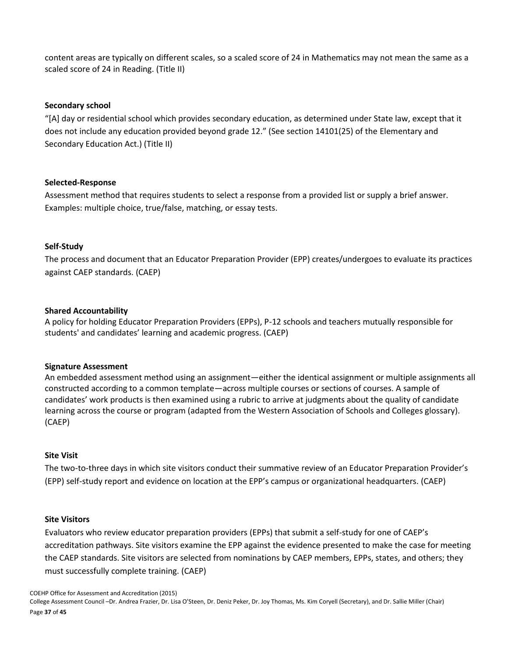content areas are typically on different scales, so a scaled score of 24 in Mathematics may not mean the same as a scaled score of 24 in Reading. (Title II)

### **Secondary school**

"[A] day or residential school which provides secondary education, as determined under State law, except that it does not include any education provided beyond grade 12." (See section 14101(25) of the Elementary and Secondary Education Act.) (Title II)

### **Selected-Response**

Assessment method that requires students to select a response from a provided list or supply a brief answer. Examples: multiple choice, true/false, matching, or essay tests.

### **Self-Study**

The process and document that an Educator Preparation Provider (EPP) creates/undergoes to evaluate its practices against CAEP standards. (CAEP)

### **Shared Accountability**

A policy for holding Educator Preparation Providers (EPPs), P-12 schools and teachers mutually responsible for students' and candidates' learning and academic progress. (CAEP)

#### **Signature Assessment**

An embedded assessment method using an assignment—either the identical assignment or multiple assignments all constructed according to a common template—across multiple courses or sections of courses. A sample of candidates' work products is then examined using a rubric to arrive at judgments about the quality of candidate learning across the course or program (adapted from the Western Association of Schools and Colleges glossary). (CAEP)

#### **Site Visit**

The two-to-three days in which site visitors conduct their summative review of an Educator Preparation Provider's (EPP) self-study report and evidence on location at the EPP's campus or organizational headquarters. (CAEP)

#### **Site Visitors**

Evaluators who review educator preparation providers (EPPs) that submit a self-study for one of CAEP's accreditation pathways. Site visitors examine the EPP against the evidence presented to make the case for meeting the CAEP standards. Site visitors are selected from nominations by CAEP members, EPPs, states, and others; they must successfully complete training. (CAEP)

College Assessment Council –Dr. Andrea Frazier, Dr. Lisa O'Steen, Dr. Deniz Peker, Dr. Joy Thomas, Ms. Kim Coryell (Secretary), and Dr. Sallie Miller (Chair) Page **37** of **45**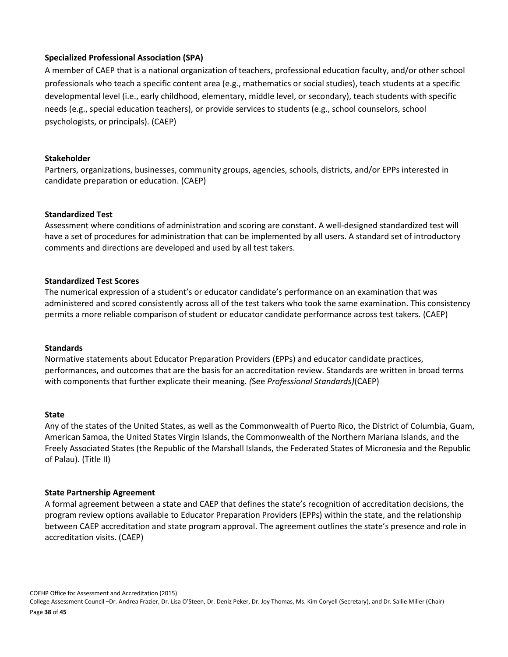### **Specialized Professional Association (SPA)**

A member of CAEP that is a national organization of teachers, professional education faculty, and/or other school professionals who teach a specific content area (e.g., mathematics or social studies), teach students at a specific developmental level (i.e., early childhood, elementary, middle level, or secondary), teach students with specific needs (e.g., special education teachers), or provide services to students (e.g., school counselors, school psychologists, or principals). (CAEP)

### **Stakeholder**

Partners, organizations, businesses, community groups, agencies, schools, districts, and/or EPPs interested in candidate preparation or education. (CAEP)

### **Standardized Test**

Assessment where conditions of administration and scoring are constant. A well-designed standardized test will have a set of procedures for administration that can be implemented by all users. A standard set of introductory comments and directions are developed and used by all test takers.

### **Standardized Test Scores**

The numerical expression of a student's or educator candidate's performance on an examination that was administered and scored consistently across all of the test takers who took the same examination. This consistency permits a more reliable comparison of student or educator candidate performance across test takers. (CAEP)

#### **Standards**

Normative statements about Educator Preparation Providers (EPPs) and educator candidate practices, performances, and outcomes that are the basis for an accreditation review. Standards are written in broad terms with components that further explicate their meaning. *(*See *Professional Standards)*(CAEP)

#### **State**

Any of the states of the United States, as well as the Commonwealth of Puerto Rico, the District of Columbia, Guam, American Samoa, the United States Virgin Islands, the Commonwealth of the Northern Mariana Islands, and the Freely Associated States (the Republic of the Marshall Islands, the Federated States of Micronesia and the Republic of Palau). (Title II)

#### **State Partnership Agreement**

A formal agreement between a state and CAEP that defines the state's recognition of accreditation decisions, the program review options available to Educator Preparation Providers (EPPs) within the state, and the relationship between CAEP accreditation and state program approval. The agreement outlines the state's presence and role in accreditation visits. (CAEP)

COEHP Office for Assessment and Accreditation (2015) College Assessment Council –Dr. Andrea Frazier, Dr. Lisa O'Steen, Dr. Deniz Peker, Dr. Joy Thomas, Ms. Kim Coryell (Secretary), and Dr. Sallie Miller (Chair) Page **38** of **45**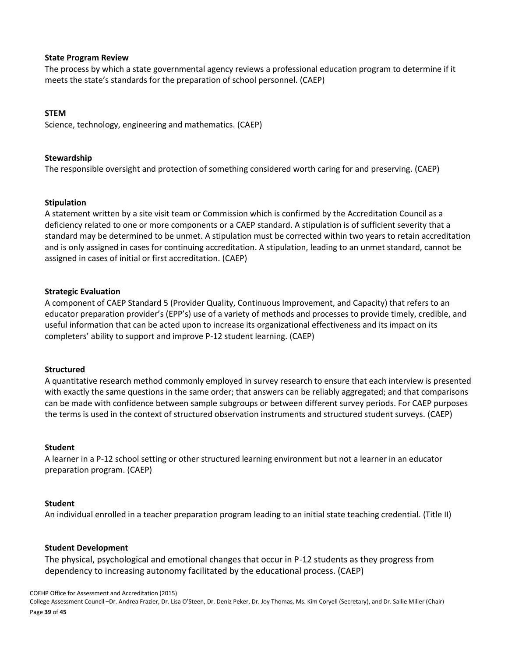#### **State Program Review**

The process by which a state governmental agency reviews a professional education program to determine if it meets the state's standards for the preparation of school personnel. (CAEP)

### **STEM**

Science, technology, engineering and mathematics. (CAEP)

#### **Stewardship**

The responsible oversight and protection of something considered worth caring for and preserving. (CAEP)

### **Stipulation**

A statement written by a site visit team or Commission which is confirmed by the Accreditation Council as a deficiency related to one or more components or a CAEP standard. A stipulation is of sufficient severity that a standard may be determined to be unmet. A stipulation must be corrected within two years to retain accreditation and is only assigned in cases for continuing accreditation. A stipulation, leading to an unmet standard, cannot be assigned in cases of initial or first accreditation. (CAEP)

### **Strategic Evaluation**

A component of CAEP Standard 5 (Provider Quality, Continuous Improvement, and Capacity) that refers to an educator preparation provider's (EPP's) use of a variety of methods and processes to provide timely, credible, and useful information that can be acted upon to increase its organizational effectiveness and its impact on its completers' ability to support and improve P-12 student learning. (CAEP)

#### **Structured**

A quantitative research method commonly employed in survey research to ensure that each interview is presented with exactly the same questions in the same order; that answers can be reliably aggregated; and that comparisons can be made with confidence between sample subgroups or between different survey periods. For CAEP purposes the terms is used in the context of structured observation instruments and structured student surveys. (CAEP)

#### **Student**

A learner in a P-12 school setting or other structured learning environment but not a learner in an educator preparation program. (CAEP)

#### **Student**

An individual enrolled in a teacher preparation program leading to an initial state teaching credential. (Title II)

#### **Student Development**

The physical, psychological and emotional changes that occur in P-12 students as they progress from dependency to increasing autonomy facilitated by the educational process. (CAEP)

COEHP Office for Assessment and Accreditation (2015)

College Assessment Council –Dr. Andrea Frazier, Dr. Lisa O'Steen, Dr. Deniz Peker, Dr. Joy Thomas, Ms. Kim Coryell (Secretary), and Dr. Sallie Miller (Chair) Page **39** of **45**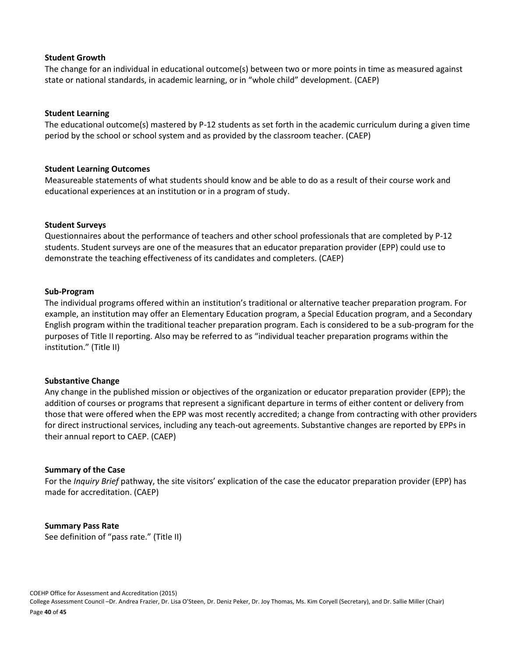#### **Student Growth**

The change for an individual in educational outcome(s) between two or more points in time as measured against state or national standards, in academic learning, or in "whole child" development. (CAEP)

### **Student Learning**

The educational outcome(s) mastered by P-12 students as set forth in the academic curriculum during a given time period by the school or school system and as provided by the classroom teacher. (CAEP)

### **Student Learning Outcomes**

Measureable statements of what students should know and be able to do as a result of their course work and educational experiences at an institution or in a program of study.

### **Student Surveys**

Questionnaires about the performance of teachers and other school professionals that are completed by P-12 students. Student surveys are one of the measures that an educator preparation provider (EPP) could use to demonstrate the teaching effectiveness of its candidates and completers. (CAEP)

### **Sub-Program**

The individual programs offered within an institution's traditional or alternative teacher preparation program. For example, an institution may offer an Elementary Education program, a Special Education program, and a Secondary English program within the traditional teacher preparation program. Each is considered to be a sub-program for the purposes of Title II reporting. Also may be referred to as "individual teacher preparation programs within the institution." (Title II)

### **Substantive Change**

Any change in the published mission or objectives of the organization or educator preparation provider (EPP); the addition of courses or programs that represent a significant departure in terms of either content or delivery from those that were offered when the EPP was most recently accredited; a change from contracting with other providers for direct instructional services, including any teach-out agreements. Substantive changes are reported by EPPs in their annual report to CAEP. (CAEP)

### **Summary of the Case**

For the *Inquiry Brief* pathway, the site visitors' explication of the case the educator preparation provider (EPP) has made for accreditation. (CAEP)

### **Summary Pass Rate**

See definition of "pass rate." (Title II)

COEHP Office for Assessment and Accreditation (2015) College Assessment Council –Dr. Andrea Frazier, Dr. Lisa O'Steen, Dr. Deniz Peker, Dr. Joy Thomas, Ms. Kim Coryell (Secretary), and Dr. Sallie Miller (Chair) Page **40** of **45**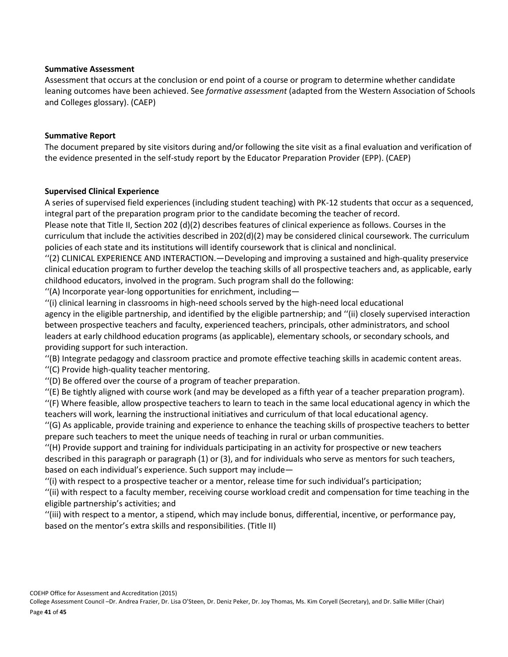### **Summative Assessment**

Assessment that occurs at the conclusion or end point of a course or program to determine whether candidate leaning outcomes have been achieved. See *formative assessment* (adapted from the Western Association of Schools and Colleges glossary). (CAEP)

### **Summative Report**

The document prepared by site visitors during and/or following the site visit as a final evaluation and verification of the evidence presented in the self-study report by the Educator Preparation Provider (EPP). (CAEP)

### **Supervised Clinical Experience**

A series of supervised field experiences (including student teaching) with PK-12 students that occur as a sequenced, integral part of the preparation program prior to the candidate becoming the teacher of record.

Please note that Title II, Section 202 (d)(2) describes features of clinical experience as follows. Courses in the curriculum that include the activities described in 202(d)(2) may be considered clinical coursework. The curriculum policies of each state and its institutions will identify coursework that is clinical and nonclinical.

''(2) CLINICAL EXPERIENCE AND INTERACTION.—Developing and improving a sustained and high-quality preservice clinical education program to further develop the teaching skills of all prospective teachers and, as applicable, early childhood educators, involved in the program. Such program shall do the following:

''(A) Incorporate year-long opportunities for enrichment, including—

''(i) clinical learning in classrooms in high-need schools served by the high-need local educational agency in the eligible partnership, and identified by the eligible partnership; and ''(ii) closely supervised interaction between prospective teachers and faculty, experienced teachers, principals, other administrators, and school leaders at early childhood education programs (as applicable), elementary schools, or secondary schools, and providing support for such interaction.

''(B) Integrate pedagogy and classroom practice and promote effective teaching skills in academic content areas. ''(C) Provide high-quality teacher mentoring.

''(D) Be offered over the course of a program of teacher preparation.

''(E) Be tightly aligned with course work (and may be developed as a fifth year of a teacher preparation program).

''(F) Where feasible, allow prospective teachers to learn to teach in the same local educational agency in which the teachers will work, learning the instructional initiatives and curriculum of that local educational agency.

''(G) As applicable, provide training and experience to enhance the teaching skills of prospective teachers to better prepare such teachers to meet the unique needs of teaching in rural or urban communities.

''(H) Provide support and training for individuals participating in an activity for prospective or new teachers described in this paragraph or paragraph (1) or (3), and for individuals who serve as mentors for such teachers, based on each individual's experience. Such support may include—

''(i) with respect to a prospective teacher or a mentor, release time for such individual's participation;

''(ii) with respect to a faculty member, receiving course workload credit and compensation for time teaching in the eligible partnership's activities; and

''(iii) with respect to a mentor, a stipend, which may include bonus, differential, incentive, or performance pay, based on the mentor's extra skills and responsibilities. (Title II)

COEHP Office for Assessment and Accreditation (2015)

College Assessment Council –Dr. Andrea Frazier, Dr. Lisa O'Steen, Dr. Deniz Peker, Dr. Joy Thomas, Ms. Kim Coryell (Secretary), and Dr. Sallie Miller (Chair) Page **41** of **45**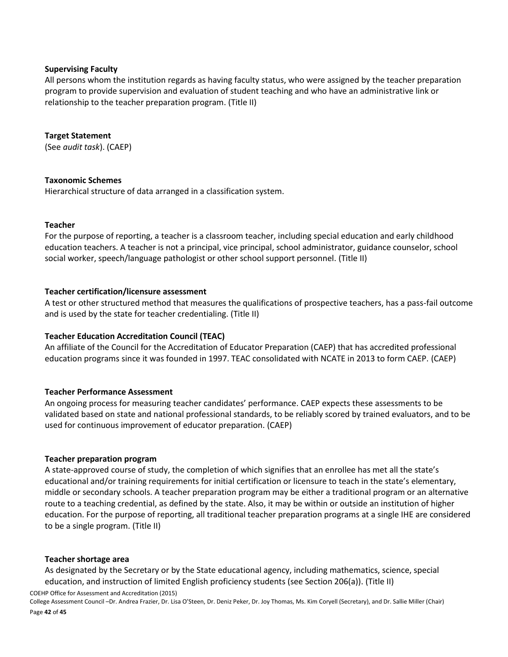### **Supervising Faculty**

All persons whom the institution regards as having faculty status, who were assigned by the teacher preparation program to provide supervision and evaluation of student teaching and who have an administrative link or relationship to the teacher preparation program. (Title II)

### **Target Statement**

(See *audit task*). (CAEP)

### **Taxonomic Schemes**

Hierarchical structure of data arranged in a classification system.

### **Teacher**

For the purpose of reporting, a teacher is a classroom teacher, including special education and early childhood education teachers. A teacher is not a principal, vice principal, school administrator, guidance counselor, school social worker, speech/language pathologist or other school support personnel. (Title II)

### **Teacher certification/licensure assessment**

A test or other structured method that measures the qualifications of prospective teachers, has a pass-fail outcome and is used by the state for teacher credentialing. (Title II)

### **Teacher Education Accreditation Council (TEAC)**

An affiliate of the Council for the Accreditation of Educator Preparation (CAEP) that has accredited professional education programs since it was founded in 1997. TEAC consolidated with NCATE in 2013 to form CAEP. (CAEP)

### **Teacher Performance Assessment**

An ongoing process for measuring teacher candidates' performance. CAEP expects these assessments to be validated based on state and national professional standards, to be reliably scored by trained evaluators, and to be used for continuous improvement of educator preparation. (CAEP)

#### **Teacher preparation program**

A state-approved course of study, the completion of which signifies that an enrollee has met all the state's educational and/or training requirements for initial certification or licensure to teach in the state's elementary, middle or secondary schools. A teacher preparation program may be either a traditional program or an alternative route to a teaching credential, as defined by the state. Also, it may be within or outside an institution of higher education. For the purpose of reporting, all traditional teacher preparation programs at a single IHE are considered to be a single program. (Title II)

#### **Teacher shortage area**

As designated by the Secretary or by the State educational agency, including mathematics, science, special education, and instruction of limited English proficiency students (see Section 206(a)). (Title II)

COEHP Office for Assessment and Accreditation (2015)

College Assessment Council –Dr. Andrea Frazier, Dr. Lisa O'Steen, Dr. Deniz Peker, Dr. Joy Thomas, Ms. Kim Coryell (Secretary), and Dr. Sallie Miller (Chair) Page **42** of **45**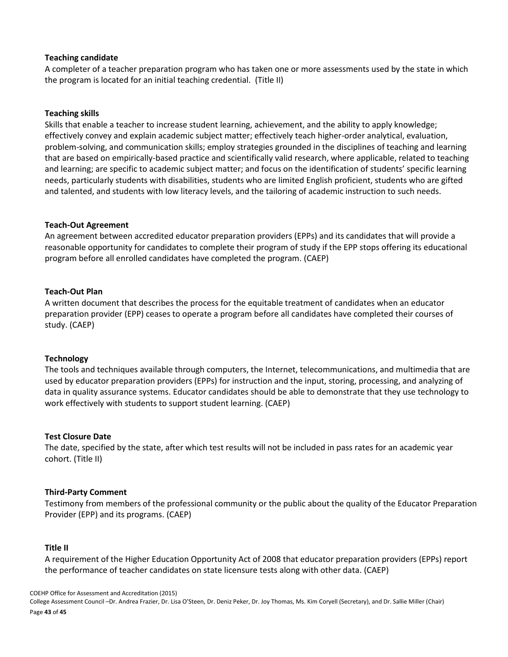### **Teaching candidate**

A completer of a teacher preparation program who has taken one or more assessments used by the state in which the program is located for an initial teaching credential. (Title II)

#### **Teaching skills**

Skills that enable a teacher to increase student learning, achievement, and the ability to apply knowledge; effectively convey and explain academic subject matter; effectively teach higher-order analytical, evaluation, problem-solving, and communication skills; employ strategies grounded in the disciplines of teaching and learning that are based on empirically-based practice and scientifically valid research, where applicable, related to teaching and learning; are specific to academic subject matter; and focus on the identification of students' specific learning needs, particularly students with disabilities, students who are limited English proficient, students who are gifted and talented, and students with low literacy levels, and the tailoring of academic instruction to such needs.

### **Teach-Out Agreement**

An agreement between accredited educator preparation providers (EPPs) and its candidates that will provide a reasonable opportunity for candidates to complete their program of study if the EPP stops offering its educational program before all enrolled candidates have completed the program. (CAEP)

### **Teach-Out Plan**

A written document that describes the process for the equitable treatment of candidates when an educator preparation provider (EPP) ceases to operate a program before all candidates have completed their courses of study. (CAEP)

#### **Technology**

The tools and techniques available through computers, the Internet, telecommunications, and multimedia that are used by educator preparation providers (EPPs) for instruction and the input, storing, processing, and analyzing of data in quality assurance systems. Educator candidates should be able to demonstrate that they use technology to work effectively with students to support student learning. (CAEP)

#### **Test Closure Date**

The date, specified by the state, after which test results will not be included in pass rates for an academic year cohort. (Title II)

#### **Third-Party Comment**

Testimony from members of the professional community or the public about the quality of the Educator Preparation Provider (EPP) and its programs. (CAEP)

#### **Title II**

A requirement of the Higher Education Opportunity Act of 2008 that educator preparation providers (EPPs) report the performance of teacher candidates on state licensure tests along with other data. (CAEP)

COEHP Office for Assessment and Accreditation (2015)

College Assessment Council –Dr. Andrea Frazier, Dr. Lisa O'Steen, Dr. Deniz Peker, Dr. Joy Thomas, Ms. Kim Coryell (Secretary), and Dr. Sallie Miller (Chair) Page **43** of **45**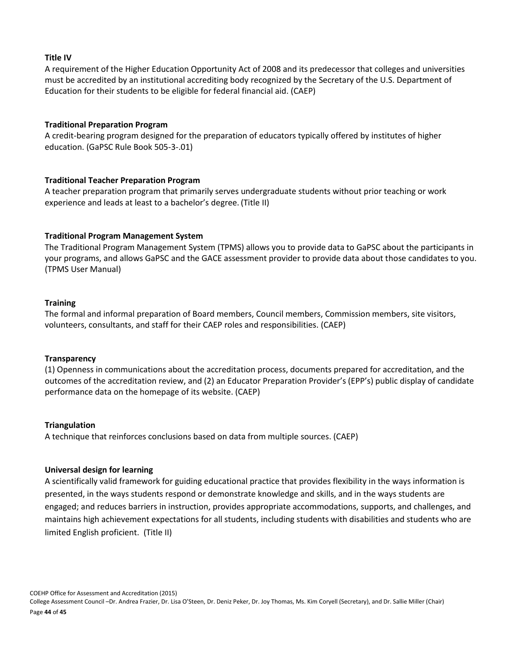### **Title IV**

A requirement of the Higher Education Opportunity Act of 2008 and its predecessor that colleges and universities must be accredited by an institutional accrediting body recognized by the Secretary of the U.S. Department of Education for their students to be eligible for federal financial aid. (CAEP)

### **Traditional Preparation Program**

A credit-bearing program designed for the preparation of educators typically offered by institutes of higher education. (GaPSC Rule Book 505-3-.01)

### **Traditional Teacher Preparation Program**

A teacher preparation program that primarily serves undergraduate students without prior teaching or work experience and leads at least to a bachelor's degree. (Title II)

### **Traditional Program Management System**

The Traditional Program Management System (TPMS) allows you to provide data to GaPSC about the participants in your programs, and allows GaPSC and the GACE assessment provider to provide data about those candidates to you. (TPMS User Manual)

#### **Training**

The formal and informal preparation of Board members, Council members, Commission members, site visitors, volunteers, consultants, and staff for their CAEP roles and responsibilities. (CAEP)

#### **Transparency**

(1) Openness in communications about the accreditation process, documents prepared for accreditation, and the outcomes of the accreditation review, and (2) an Educator Preparation Provider's (EPP's) public display of candidate performance data on the homepage of its website. (CAEP)

#### **Triangulation**

A technique that reinforces conclusions based on data from multiple sources. (CAEP)

#### **Universal design for learning**

A scientifically valid framework for guiding educational practice that provides flexibility in the ways information is presented, in the ways students respond or demonstrate knowledge and skills, and in the ways students are engaged; and reduces barriers in instruction, provides appropriate accommodations, supports, and challenges, and maintains high achievement expectations for all students, including students with disabilities and students who are limited English proficient. (Title II)

COEHP Office for Assessment and Accreditation (2015) College Assessment Council –Dr. Andrea Frazier, Dr. Lisa O'Steen, Dr. Deniz Peker, Dr. Joy Thomas, Ms. Kim Coryell (Secretary), and Dr. Sallie Miller (Chair) Page **44** of **45**